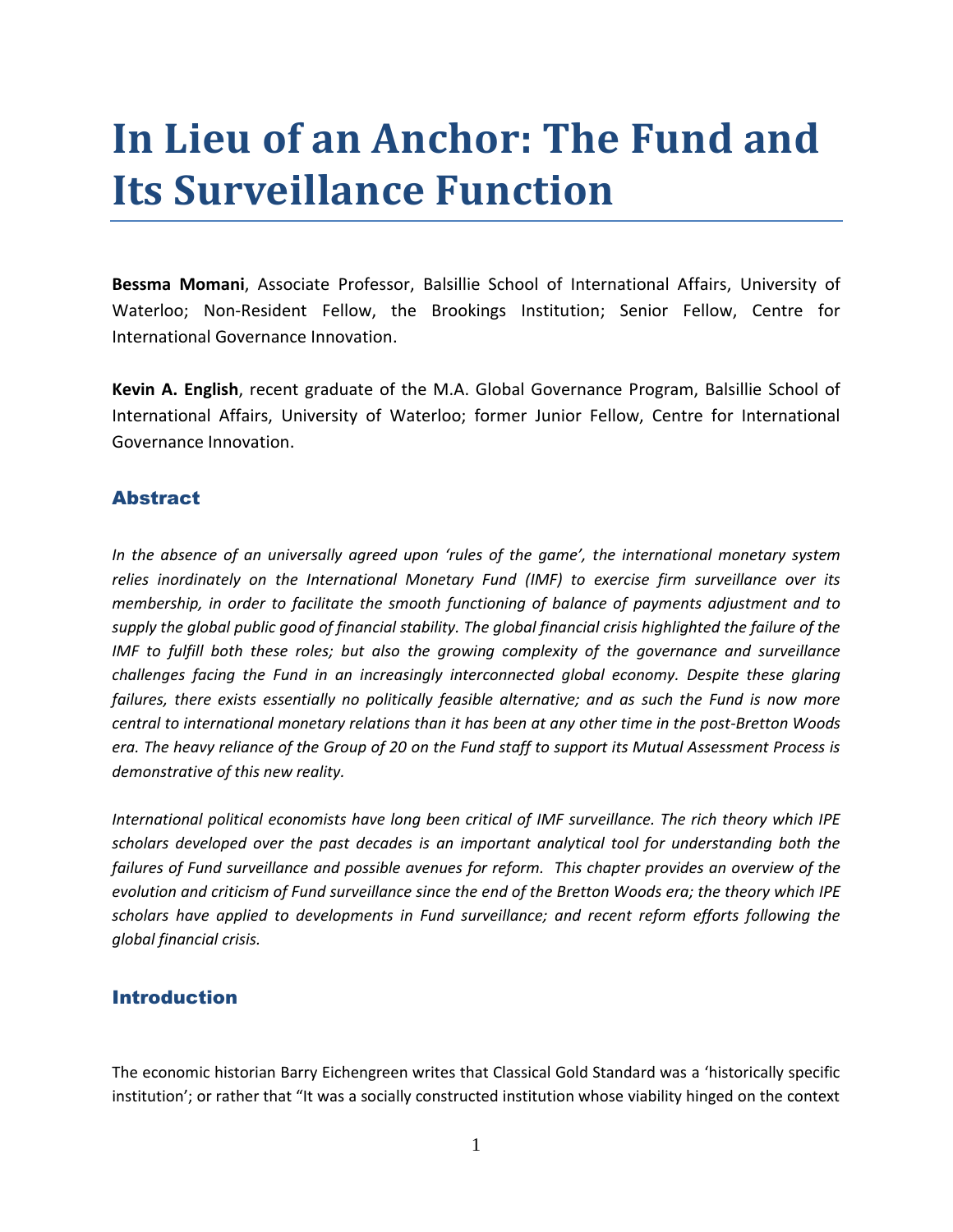# **In Lieu of an Anchor: The Fund and Its Surveillance Function**

**Bessma Momani**, Associate Professor, Balsillie School of International Affairs, University of Waterloo; Non-Resident Fellow, the Brookings Institution; Senior Fellow, Centre for International Governance Innovation.

**Kevin A. English**, recent graduate of the M.A. Global Governance Program, Balsillie School of International Affairs, University of Waterloo; former Junior Fellow, Centre for International Governance Innovation.

## Abstract

*In the absence of an universally agreed upon 'rules of the game', the international monetary system relies inordinately on the International Monetary Fund (IMF) to exercise firm surveillance over its membership, in order to facilitate the smooth functioning of balance of payments adjustment and to*  supply the global public good of financial stability. The global financial crisis highlighted the failure of the *IMF to fulfill both these roles; but also the growing complexity of the governance and surveillance challenges facing the Fund in an increasingly interconnected global economy. Despite these glaring failures, there exists essentially no politically feasible alternative; and as such the Fund is now more central to international monetary relations than it has been at any other time in the post-Bretton Woods era. The heavy reliance of the Group of 20 on the Fund staff to support its Mutual Assessment Process is demonstrative of this new reality.* 

*International political economists have long been critical of IMF surveillance. The rich theory which IPE scholars developed over the past decades is an important analytical tool for understanding both the failures of Fund surveillance and possible avenues for reform. This chapter provides an overview of the evolution and criticism of Fund surveillance since the end of the Bretton Woods era; the theory which IPE scholars have applied to developments in Fund surveillance; and recent reform efforts following the global financial crisis.* 

### Introduction

The economic historian Barry Eichengreen writes that Classical Gold Standard was a 'historically specific institution'; or rather that "It was a socially constructed institution whose viability hinged on the context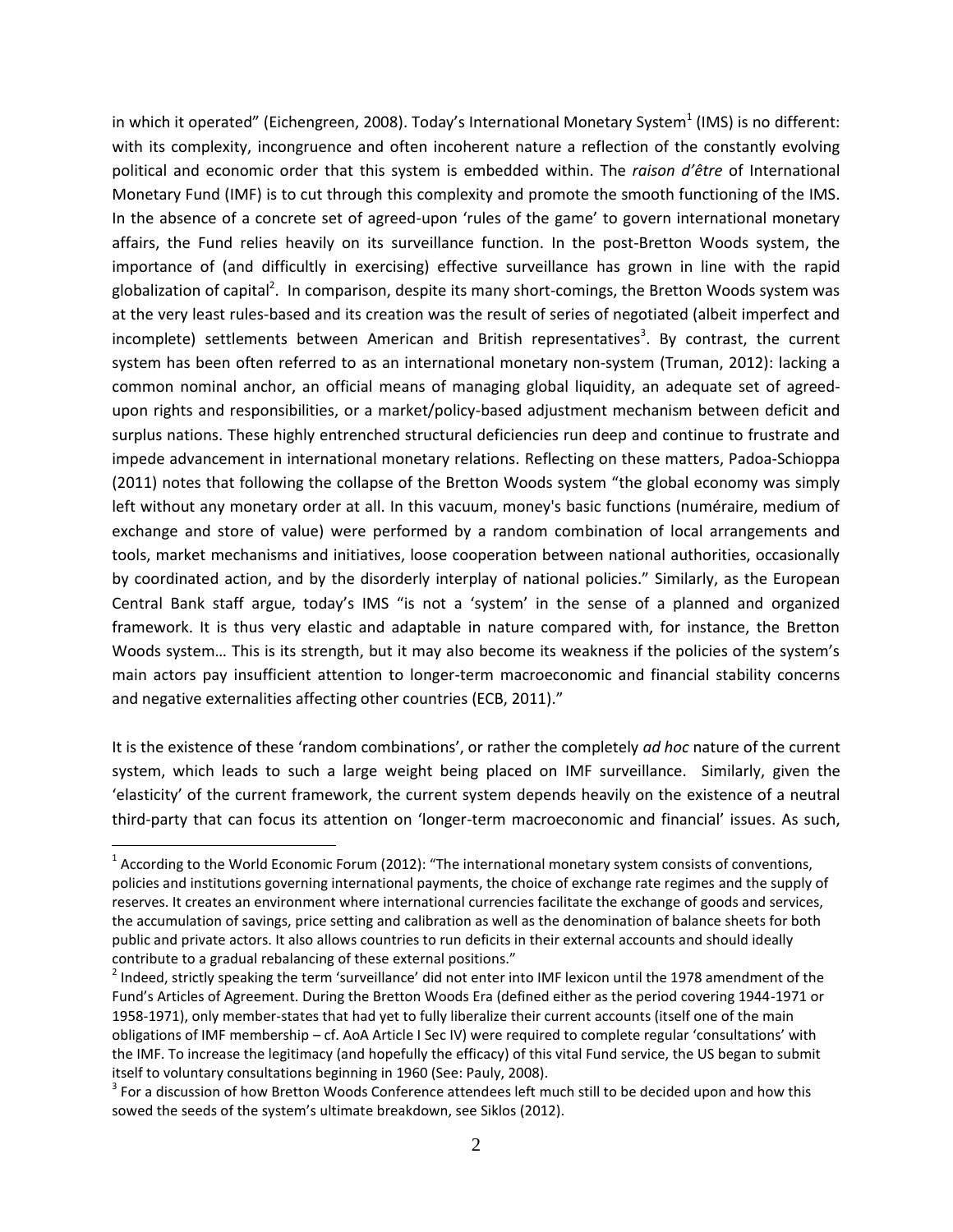in which it operated" (Eichengreen, 2008). Today's International Monetary System<sup>1</sup> (IMS) is no different: with its complexity, incongruence and often incoherent nature a reflection of the constantly evolving political and economic order that this system is embedded within. The *raison d'être* of International Monetary Fund (IMF) is to cut through this complexity and promote the smooth functioning of the IMS. In the absence of a concrete set of agreed-upon 'rules of the game' to govern international monetary affairs, the Fund relies heavily on its surveillance function. In the post-Bretton Woods system, the importance of (and difficultly in exercising) effective surveillance has grown in line with the rapid globalization of capital<sup>2</sup>. In comparison, despite its many short-comings, the Bretton Woods system was at the very least rules-based and its creation was the result of series of negotiated (albeit imperfect and incomplete) settlements between American and British representatives<sup>3</sup>. By contrast, the current system has been often referred to as an international monetary non-system (Truman, 2012): lacking a common nominal anchor, an official means of managing global liquidity, an adequate set of agreedupon rights and responsibilities, or a market/policy-based adjustment mechanism between deficit and surplus nations. These highly entrenched structural deficiencies run deep and continue to frustrate and impede advancement in international monetary relations. Reflecting on these matters, Padoa-Schioppa (2011) notes that following the collapse of the Bretton Woods system "the global economy was simply left without any monetary order at all. In this vacuum, money's basic functions (numéraire, medium of exchange and store of value) were performed by a random combination of local arrangements and tools, market mechanisms and initiatives, loose cooperation between national authorities, occasionally by coordinated action, and by the disorderly interplay of national policies." Similarly, as the European Central Bank staff argue, today's IMS "is not a 'system' in the sense of a planned and organized framework. It is thus very elastic and adaptable in nature compared with, for instance, the Bretton Woods system… This is its strength, but it may also become its weakness if the policies of the system's main actors pay insufficient attention to longer-term macroeconomic and financial stability concerns and negative externalities affecting other countries (ECB, 2011)."

It is the existence of these 'random combinations', or rather the completely *ad hoc* nature of the current system, which leads to such a large weight being placed on IMF surveillance. Similarly, given the 'elasticity' of the current framework, the current system depends heavily on the existence of a neutral third-party that can focus its attention on 'longer-term macroeconomic and financial' issues. As such,

 $1$  According to the World Economic Forum (2012): "The international monetary system consists of conventions, policies and institutions governing international payments, the choice of exchange rate regimes and the supply of reserves. It creates an environment where international currencies facilitate the exchange of goods and services, the accumulation of savings, price setting and calibration as well as the denomination of balance sheets for both public and private actors. It also allows countries to run deficits in their external accounts and should ideally contribute to a gradual rebalancing of these external positions."

 $^2$  Indeed, strictly speaking the term 'surveillance' did not enter into IMF lexicon until the 1978 amendment of the Fund's Articles of Agreement. During the Bretton Woods Era (defined either as the period covering 1944-1971 or 1958-1971), only member-states that had yet to fully liberalize their current accounts (itself one of the main obligations of IMF membership – cf. AoA Article I Sec IV) were required to complete regular 'consultations' with the IMF. To increase the legitimacy (and hopefully the efficacy) of this vital Fund service, the US began to submit itself to voluntary consultations beginning in 1960 (See: Pauly, 2008).

 $3$  For a discussion of how Bretton Woods Conference attendees left much still to be decided upon and how this sowed the seeds of the system's ultimate breakdown, see Siklos (2012).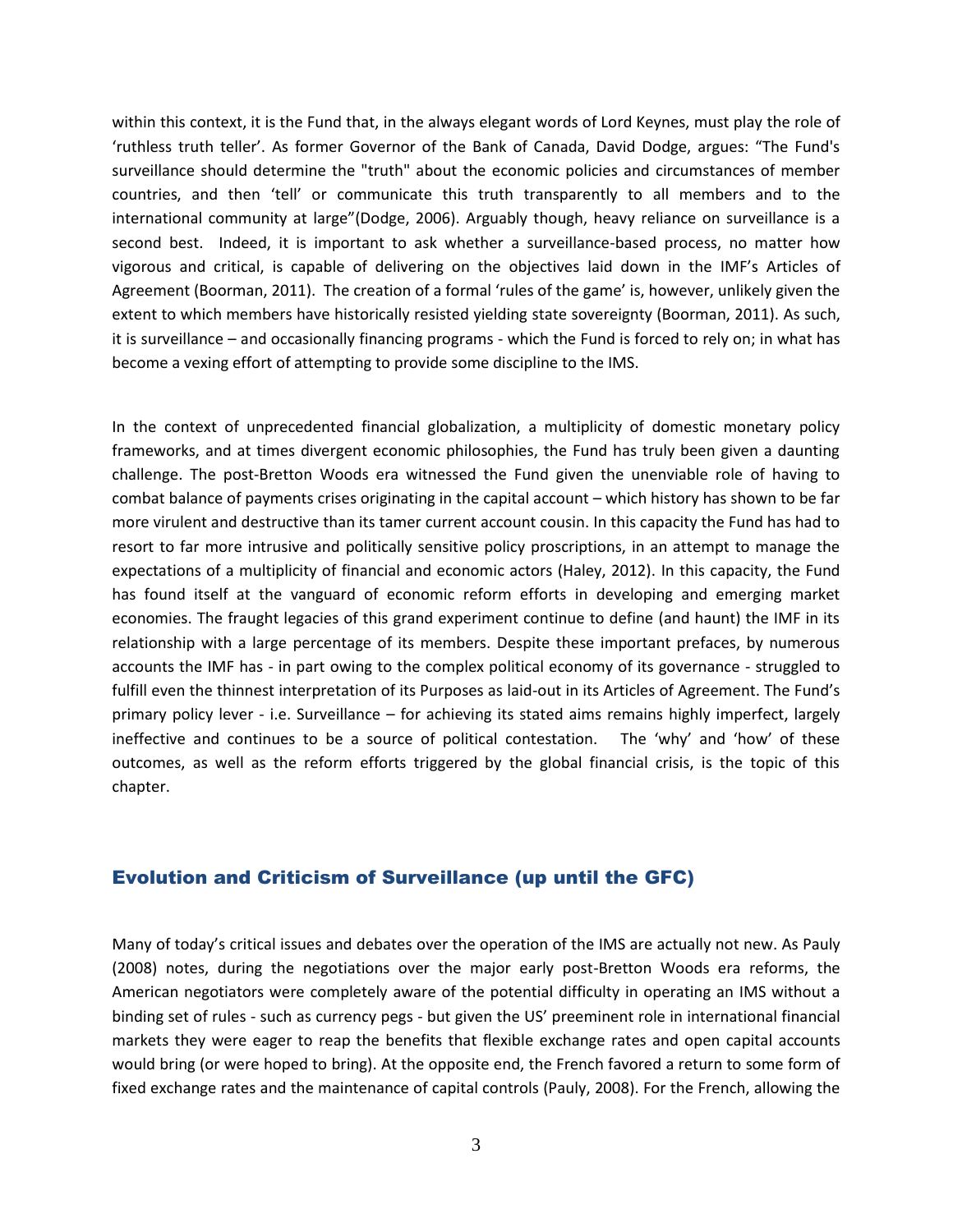within this context, it is the Fund that, in the always elegant words of Lord Keynes, must play the role of 'ruthless truth teller'. As former Governor of the Bank of Canada, David Dodge, argues: "The Fund's surveillance should determine the "truth" about the economic policies and circumstances of member countries, and then 'tell' or communicate this truth transparently to all members and to the international community at large"(Dodge, 2006). Arguably though, heavy reliance on surveillance is a second best. Indeed, it is important to ask whether a surveillance-based process, no matter how vigorous and critical, is capable of delivering on the objectives laid down in the IMF's Articles of Agreement (Boorman, 2011). The creation of a formal 'rules of the game' is, however, unlikely given the extent to which members have historically resisted yielding state sovereignty (Boorman, 2011). As such, it is surveillance – and occasionally financing programs - which the Fund is forced to rely on; in what has become a vexing effort of attempting to provide some discipline to the IMS.

In the context of unprecedented financial globalization, a multiplicity of domestic monetary policy frameworks, and at times divergent economic philosophies, the Fund has truly been given a daunting challenge. The post-Bretton Woods era witnessed the Fund given the unenviable role of having to combat balance of payments crises originating in the capital account – which history has shown to be far more virulent and destructive than its tamer current account cousin. In this capacity the Fund has had to resort to far more intrusive and politically sensitive policy proscriptions, in an attempt to manage the expectations of a multiplicity of financial and economic actors (Haley, 2012). In this capacity, the Fund has found itself at the vanguard of economic reform efforts in developing and emerging market economies. The fraught legacies of this grand experiment continue to define (and haunt) the IMF in its relationship with a large percentage of its members. Despite these important prefaces, by numerous accounts the IMF has - in part owing to the complex political economy of its governance - struggled to fulfill even the thinnest interpretation of its Purposes as laid-out in its Articles of Agreement. The Fund's primary policy lever - i.e. Surveillance – for achieving its stated aims remains highly imperfect, largely ineffective and continues to be a source of political contestation. The 'why' and 'how' of these outcomes, as well as the reform efforts triggered by the global financial crisis, is the topic of this chapter.

#### Evolution and Criticism of Surveillance (up until the GFC)

Many of today's critical issues and debates over the operation of the IMS are actually not new. As Pauly (2008) notes, during the negotiations over the major early post-Bretton Woods era reforms, the American negotiators were completely aware of the potential difficulty in operating an IMS without a binding set of rules - such as currency pegs - but given the US' preeminent role in international financial markets they were eager to reap the benefits that flexible exchange rates and open capital accounts would bring (or were hoped to bring). At the opposite end, the French favored a return to some form of fixed exchange rates and the maintenance of capital controls (Pauly, 2008). For the French, allowing the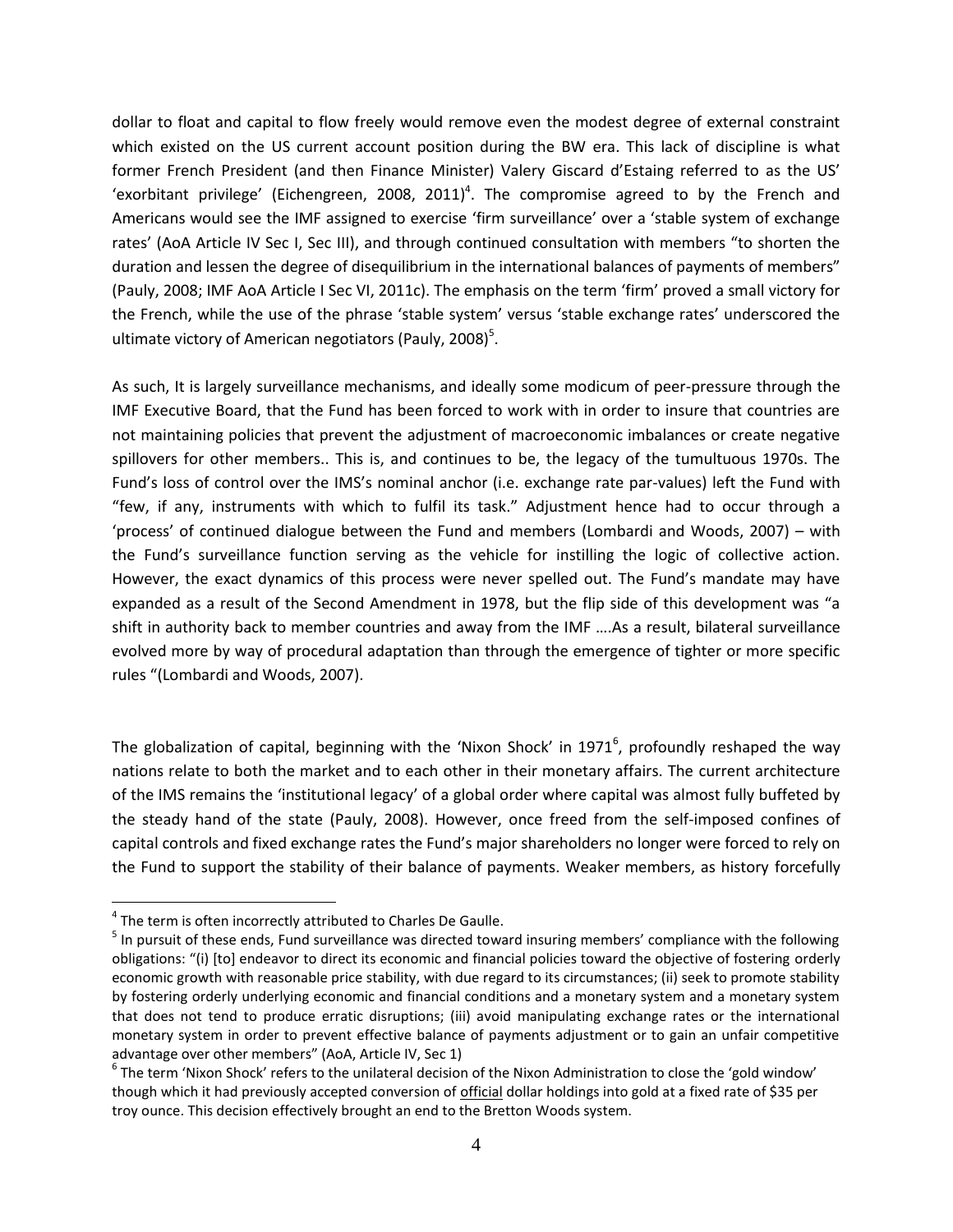dollar to float and capital to flow freely would remove even the modest degree of external constraint which existed on the US current account position during the BW era. This lack of discipline is what former French President (and then Finance Minister) Valery Giscard d'Estaing referred to as the US' 'exorbitant privilege' (Eichengreen, 2008, 2011)<sup>4</sup>. The compromise agreed to by the French and Americans would see the IMF assigned to exercise 'firm surveillance' over a 'stable system of exchange rates' (AoA Article IV Sec I, Sec III), and through continued consultation with members "to shorten the duration and lessen the degree of disequilibrium in the international balances of payments of members" (Pauly, 2008; IMF AoA Article I Sec VI, 2011c). The emphasis on the term 'firm' proved a small victory for the French, while the use of the phrase 'stable system' versus 'stable exchange rates' underscored the ultimate victory of American negotiators (Pauly, 2008)<sup>5</sup>.

As such, It is largely surveillance mechanisms, and ideally some modicum of peer-pressure through the IMF Executive Board, that the Fund has been forced to work with in order to insure that countries are not maintaining policies that prevent the adjustment of macroeconomic imbalances or create negative spillovers for other members.. This is, and continues to be, the legacy of the tumultuous 1970s. The Fund's loss of control over the IMS's nominal anchor (i.e. exchange rate par-values) left the Fund with "few, if any, instruments with which to fulfil its task." Adjustment hence had to occur through a 'process' of continued dialogue between the Fund and members (Lombardi and Woods, 2007) – with the Fund's surveillance function serving as the vehicle for instilling the logic of collective action. However, the exact dynamics of this process were never spelled out. The Fund's mandate may have expanded as a result of the Second Amendment in 1978, but the flip side of this development was "a shift in authority back to member countries and away from the IMF ….As a result, bilateral surveillance evolved more by way of procedural adaptation than through the emergence of tighter or more specific rules "(Lombardi and Woods, 2007).

The globalization of capital, beginning with the 'Nixon Shock' in 1971<sup>6</sup>, profoundly reshaped the way nations relate to both the market and to each other in their monetary affairs. The current architecture of the IMS remains the 'institutional legacy' of a global order where capital was almost fully buffeted by the steady hand of the state (Pauly, 2008). However, once freed from the self-imposed confines of capital controls and fixed exchange rates the Fund's major shareholders no longer were forced to rely on the Fund to support the stability of their balance of payments. Weaker members, as history forcefully

 $<sup>4</sup>$  The term is often incorrectly attributed to Charles De Gaulle.</sup>

<sup>&</sup>lt;sup>5</sup> In pursuit of these ends, Fund surveillance was directed toward insuring members' compliance with the following obligations: "(i) [to] endeavor to direct its economic and financial policies toward the objective of fostering orderly economic growth with reasonable price stability, with due regard to its circumstances; (ii) seek to promote stability by fostering orderly underlying economic and financial conditions and a monetary system and a monetary system that does not tend to produce erratic disruptions; (iii) avoid manipulating exchange rates or the international monetary system in order to prevent effective balance of payments adjustment or to gain an unfair competitive advantage over other members" (AoA, Article IV, Sec 1)

 $^6$  The term 'Nixon Shock' refers to the unilateral decision of the Nixon Administration to close the 'gold window' though which it had previously accepted conversion of official dollar holdings into gold at a fixed rate of \$35 per troy ounce. This decision effectively brought an end to the Bretton Woods system.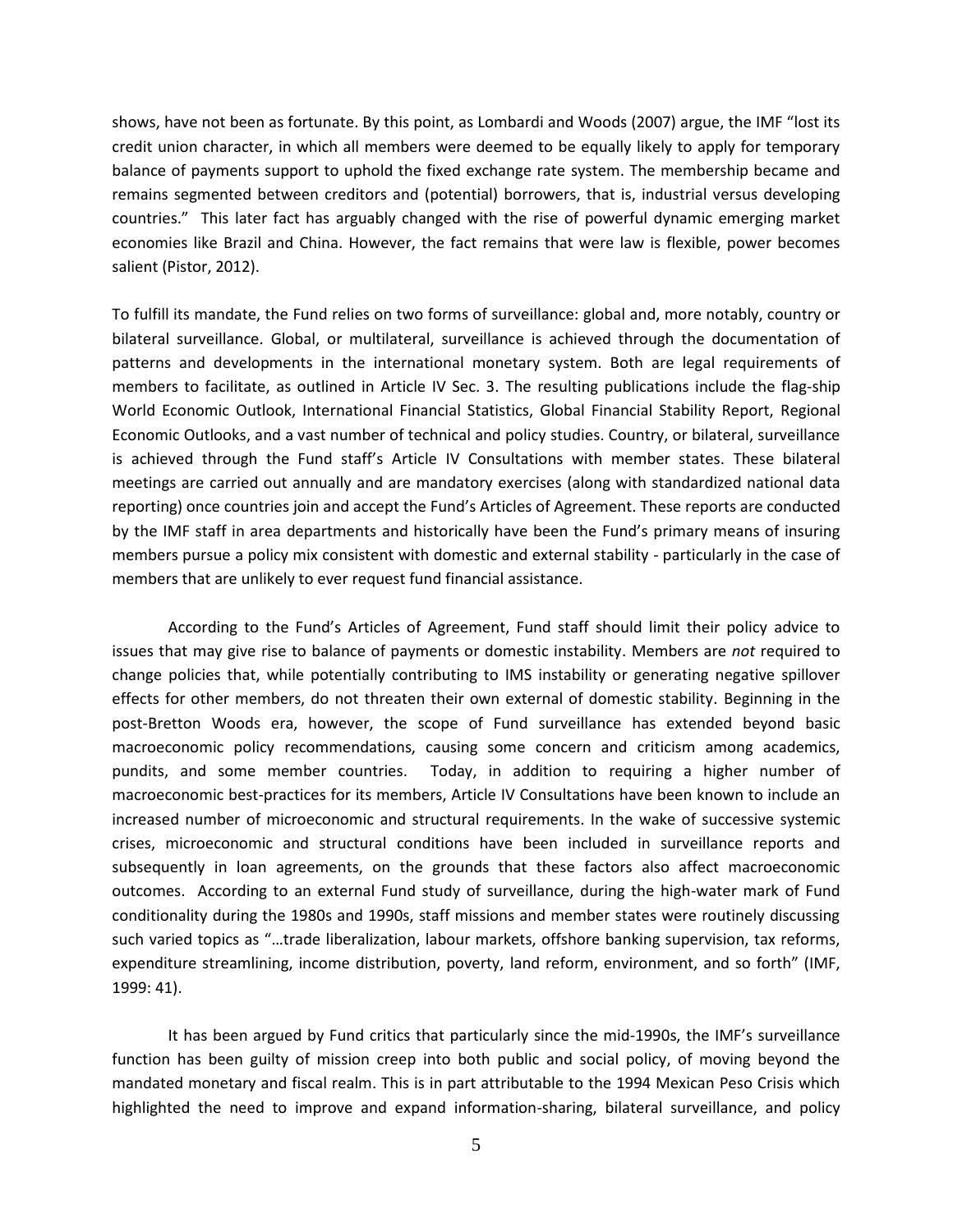shows, have not been as fortunate. By this point, as Lombardi and Woods (2007) argue, the IMF "lost its credit union character, in which all members were deemed to be equally likely to apply for temporary balance of payments support to uphold the fixed exchange rate system. The membership became and remains segmented between creditors and (potential) borrowers, that is, industrial versus developing countries." This later fact has arguably changed with the rise of powerful dynamic emerging market economies like Brazil and China. However, the fact remains that were law is flexible, power becomes salient (Pistor, 2012).

To fulfill its mandate, the Fund relies on two forms of surveillance: global and, more notably, country or bilateral surveillance. Global, or multilateral, surveillance is achieved through the documentation of patterns and developments in the international monetary system. Both are legal requirements of members to facilitate, as outlined in Article IV Sec. 3. The resulting publications include the flag-ship World Economic Outlook, International Financial Statistics, Global Financial Stability Report, Regional Economic Outlooks, and a vast number of technical and policy studies. Country, or bilateral, surveillance is achieved through the Fund staff's Article IV Consultations with member states. These bilateral meetings are carried out annually and are mandatory exercises (along with standardized national data reporting) once countries join and accept the Fund's Articles of Agreement. These reports are conducted by the IMF staff in area departments and historically have been the Fund's primary means of insuring members pursue a policy mix consistent with domestic and external stability - particularly in the case of members that are unlikely to ever request fund financial assistance.

According to the Fund's Articles of Agreement, Fund staff should limit their policy advice to issues that may give rise to balance of payments or domestic instability. Members are *not* required to change policies that, while potentially contributing to IMS instability or generating negative spillover effects for other members, do not threaten their own external of domestic stability. Beginning in the post-Bretton Woods era, however, the scope of Fund surveillance has extended beyond basic macroeconomic policy recommendations, causing some concern and criticism among academics, pundits, and some member countries. Today, in addition to requiring a higher number of macroeconomic best-practices for its members, Article IV Consultations have been known to include an increased number of microeconomic and structural requirements. In the wake of successive systemic crises, microeconomic and structural conditions have been included in surveillance reports and subsequently in loan agreements, on the grounds that these factors also affect macroeconomic outcomes. According to an external Fund study of surveillance, during the high-water mark of Fund conditionality during the 1980s and 1990s, staff missions and member states were routinely discussing such varied topics as "…trade liberalization, labour markets, offshore banking supervision, tax reforms, expenditure streamlining, income distribution, poverty, land reform, environment, and so forth" (IMF, 1999: 41).

It has been argued by Fund critics that particularly since the mid-1990s, the IMF's surveillance function has been guilty of mission creep into both public and social policy, of moving beyond the mandated monetary and fiscal realm. This is in part attributable to the 1994 Mexican Peso Crisis which highlighted the need to improve and expand information-sharing, bilateral surveillance, and policy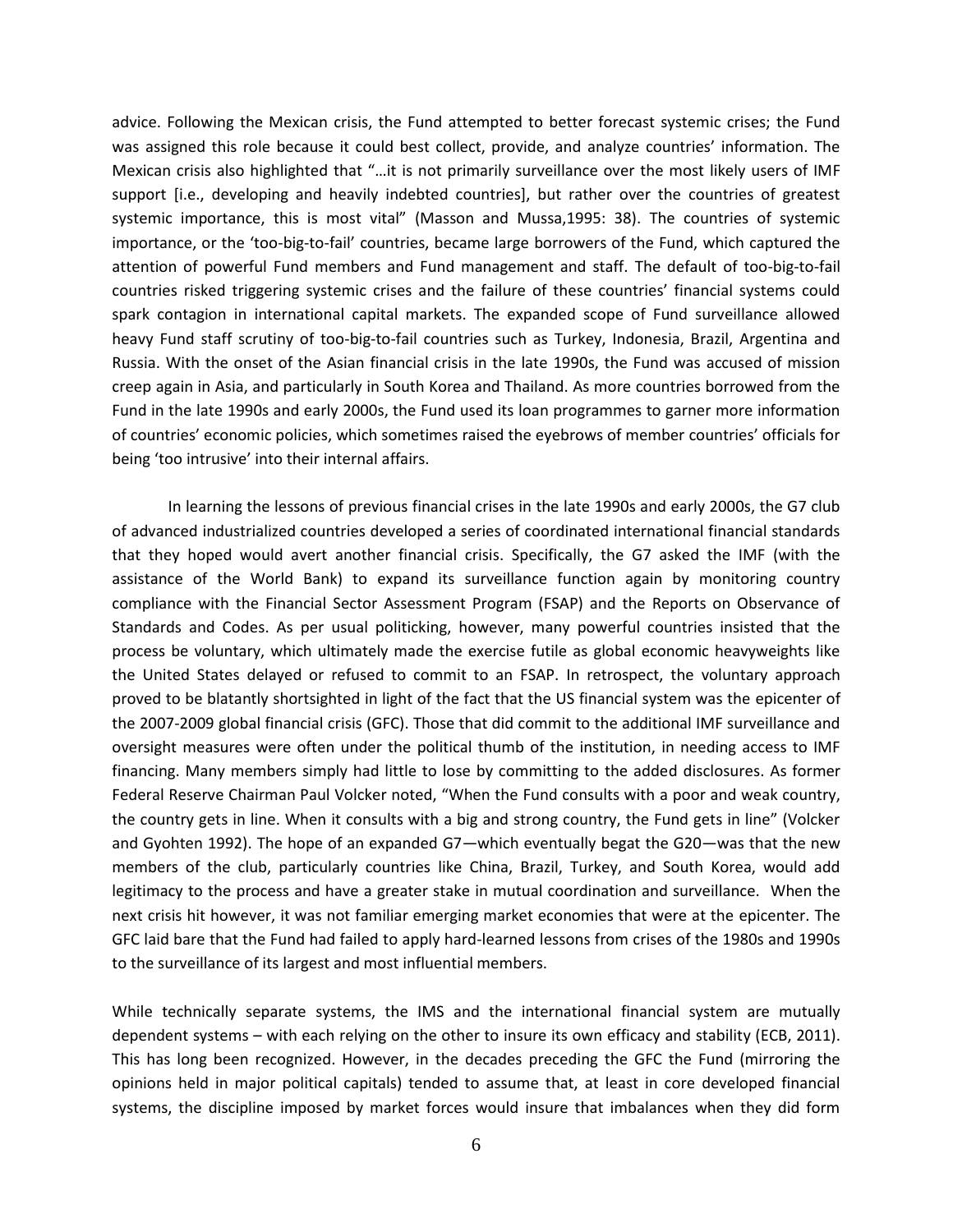advice. Following the Mexican crisis, the Fund attempted to better forecast systemic crises; the Fund was assigned this role because it could best collect, provide, and analyze countries' information. The Mexican crisis also highlighted that "…it is not primarily surveillance over the most likely users of IMF support [i.e., developing and heavily indebted countries], but rather over the countries of greatest systemic importance, this is most vital" (Masson and Mussa,1995: 38). The countries of systemic importance, or the 'too-big-to-fail' countries, became large borrowers of the Fund, which captured the attention of powerful Fund members and Fund management and staff. The default of too-big-to-fail countries risked triggering systemic crises and the failure of these countries' financial systems could spark contagion in international capital markets. The expanded scope of Fund surveillance allowed heavy Fund staff scrutiny of too-big-to-fail countries such as Turkey, Indonesia, Brazil, Argentina and Russia. With the onset of the Asian financial crisis in the late 1990s, the Fund was accused of mission creep again in Asia, and particularly in South Korea and Thailand. As more countries borrowed from the Fund in the late 1990s and early 2000s, the Fund used its loan programmes to garner more information of countries' economic policies, which sometimes raised the eyebrows of member countries' officials for being 'too intrusive' into their internal affairs.

In learning the lessons of previous financial crises in the late 1990s and early 2000s, the G7 club of advanced industrialized countries developed a series of coordinated international financial standards that they hoped would avert another financial crisis. Specifically, the G7 asked the IMF (with the assistance of the World Bank) to expand its surveillance function again by monitoring country compliance with the Financial Sector Assessment Program (FSAP) and the Reports on Observance of Standards and Codes. As per usual politicking, however, many powerful countries insisted that the process be voluntary, which ultimately made the exercise futile as global economic heavyweights like the United States delayed or refused to commit to an FSAP. In retrospect, the voluntary approach proved to be blatantly shortsighted in light of the fact that the US financial system was the epicenter of the 2007-2009 global financial crisis (GFC). Those that did commit to the additional IMF surveillance and oversight measures were often under the political thumb of the institution, in needing access to IMF financing. Many members simply had little to lose by committing to the added disclosures. As former Federal Reserve Chairman Paul Volcker noted, "When the Fund consults with a poor and weak country, the country gets in line. When it consults with a big and strong country, the Fund gets in line" (Volcker and Gyohten 1992). The hope of an expanded G7—which eventually begat the G20—was that the new members of the club, particularly countries like China, Brazil, Turkey, and South Korea, would add legitimacy to the process and have a greater stake in mutual coordination and surveillance. When the next crisis hit however, it was not familiar emerging market economies that were at the epicenter. The GFC laid bare that the Fund had failed to apply hard-learned lessons from crises of the 1980s and 1990s to the surveillance of its largest and most influential members.

While technically separate systems, the IMS and the international financial system are mutually dependent systems – with each relying on the other to insure its own efficacy and stability (ECB, 2011). This has long been recognized. However, in the decades preceding the GFC the Fund (mirroring the opinions held in major political capitals) tended to assume that, at least in core developed financial systems, the discipline imposed by market forces would insure that imbalances when they did form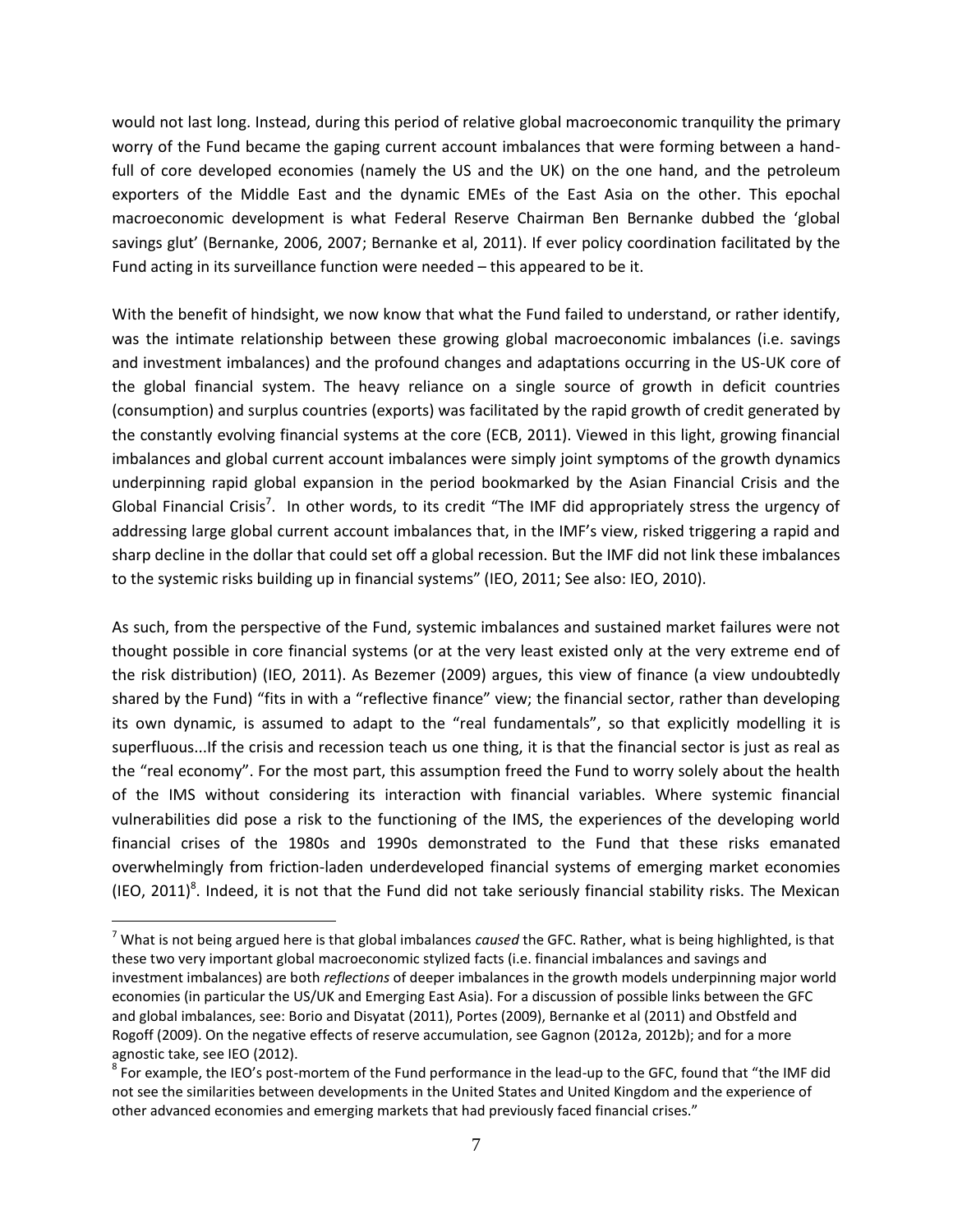would not last long. Instead, during this period of relative global macroeconomic tranquility the primary worry of the Fund became the gaping current account imbalances that were forming between a handfull of core developed economies (namely the US and the UK) on the one hand, and the petroleum exporters of the Middle East and the dynamic EMEs of the East Asia on the other. This epochal macroeconomic development is what Federal Reserve Chairman Ben Bernanke dubbed the 'global savings glut' (Bernanke, 2006, 2007; Bernanke et al, 2011). If ever policy coordination facilitated by the Fund acting in its surveillance function were needed – this appeared to be it.

With the benefit of hindsight, we now know that what the Fund failed to understand, or rather identify, was the intimate relationship between these growing global macroeconomic imbalances (i.e. savings and investment imbalances) and the profound changes and adaptations occurring in the US-UK core of the global financial system. The heavy reliance on a single source of growth in deficit countries (consumption) and surplus countries (exports) was facilitated by the rapid growth of credit generated by the constantly evolving financial systems at the core (ECB, 2011). Viewed in this light, growing financial imbalances and global current account imbalances were simply joint symptoms of the growth dynamics underpinning rapid global expansion in the period bookmarked by the Asian Financial Crisis and the Global Financial Crisis<sup>7</sup>. In other words, to its credit "The IMF did appropriately stress the urgency of addressing large global current account imbalances that, in the IMF's view, risked triggering a rapid and sharp decline in the dollar that could set off a global recession. But the IMF did not link these imbalances to the systemic risks building up in financial systems" (IEO, 2011; See also: IEO, 2010).

As such, from the perspective of the Fund, systemic imbalances and sustained market failures were not thought possible in core financial systems (or at the very least existed only at the very extreme end of the risk distribution) (IEO, 2011). As Bezemer (2009) argues, this view of finance (a view undoubtedly shared by the Fund) "fits in with a "reflective finance" view; the financial sector, rather than developing its own dynamic, is assumed to adapt to the "real fundamentals", so that explicitly modelling it is superfluous...If the crisis and recession teach us one thing, it is that the financial sector is just as real as the "real economy". For the most part, this assumption freed the Fund to worry solely about the health of the IMS without considering its interaction with financial variables. Where systemic financial vulnerabilities did pose a risk to the functioning of the IMS, the experiences of the developing world financial crises of the 1980s and 1990s demonstrated to the Fund that these risks emanated overwhelmingly from friction-laden underdeveloped financial systems of emerging market economies (IEO, 2011)<sup>8</sup>. Indeed, it is not that the Fund did not take seriously financial stability risks. The Mexican

<sup>7</sup> What is not being argued here is that global imbalances *caused* the GFC. Rather, what is being highlighted, is that these two very important global macroeconomic stylized facts (i.e. financial imbalances and savings and investment imbalances) are both *reflections* of deeper imbalances in the growth models underpinning major world economies (in particular the US/UK and Emerging East Asia). For a discussion of possible links between the GFC and global imbalances, see: Borio and Disyatat (2011), Portes (2009), Bernanke et al (2011) and Obstfeld and Rogoff (2009). On the negative effects of reserve accumulation, see Gagnon (2012a, 2012b); and for a more agnostic take, see IEO (2012).

 $^8$  For example, the IEO's post-mortem of the Fund performance in the lead-up to the GFC, found that "the IMF did not see the similarities between developments in the United States and United Kingdom and the experience of other advanced economies and emerging markets that had previously faced financial crises."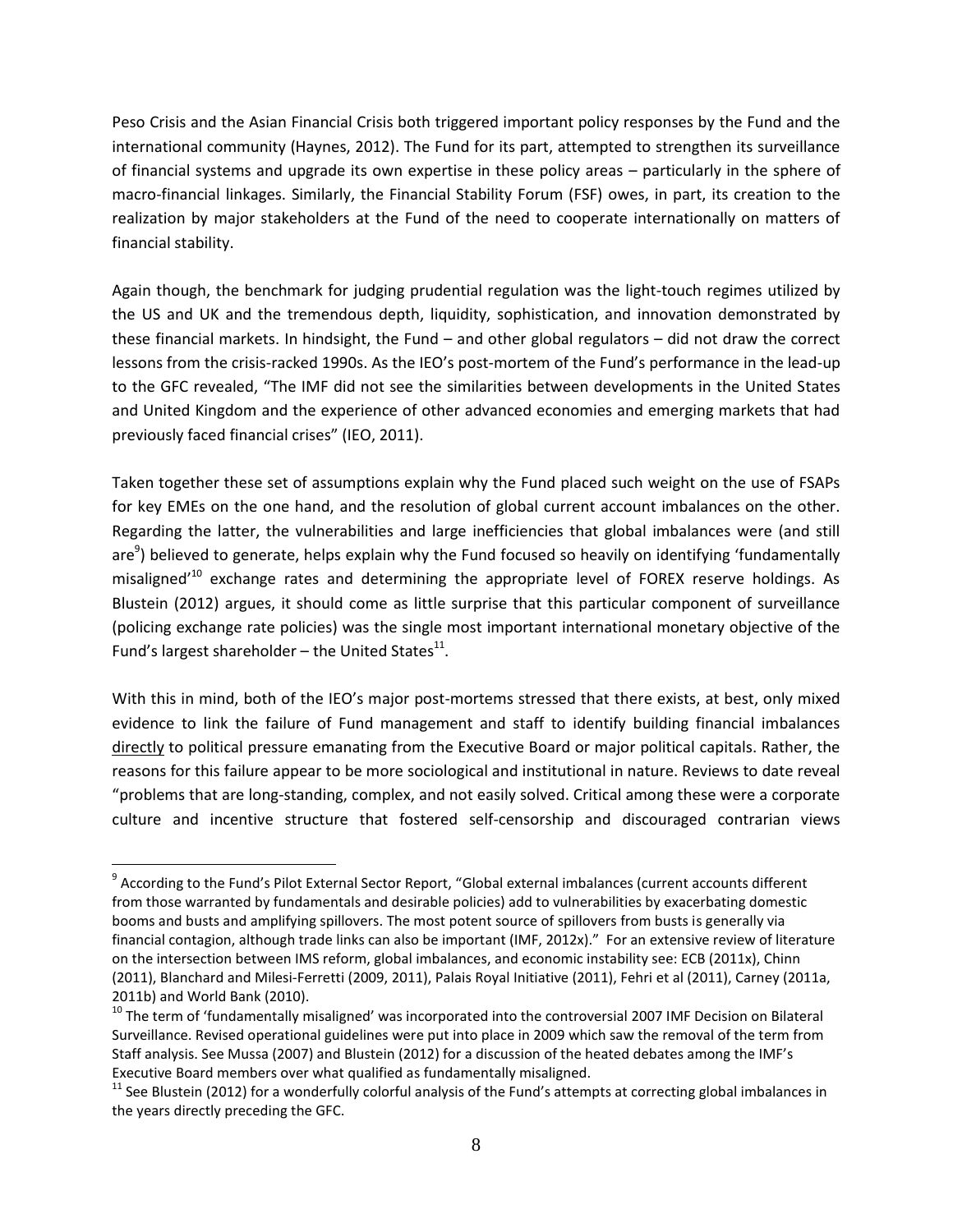Peso Crisis and the Asian Financial Crisis both triggered important policy responses by the Fund and the international community (Haynes, 2012). The Fund for its part, attempted to strengthen its surveillance of financial systems and upgrade its own expertise in these policy areas – particularly in the sphere of macro-financial linkages. Similarly, the Financial Stability Forum (FSF) owes, in part, its creation to the realization by major stakeholders at the Fund of the need to cooperate internationally on matters of financial stability.

Again though, the benchmark for judging prudential regulation was the light-touch regimes utilized by the US and UK and the tremendous depth, liquidity, sophistication, and innovation demonstrated by these financial markets. In hindsight, the Fund – and other global regulators – did not draw the correct lessons from the crisis-racked 1990s. As the IEO's post-mortem of the Fund's performance in the lead-up to the GFC revealed, "The IMF did not see the similarities between developments in the United States and United Kingdom and the experience of other advanced economies and emerging markets that had previously faced financial crises" (IEO, 2011).

Taken together these set of assumptions explain why the Fund placed such weight on the use of FSAPs for key EMEs on the one hand, and the resolution of global current account imbalances on the other. Regarding the latter, the vulnerabilities and large inefficiencies that global imbalances were (and still are<sup>9</sup>) believed to generate, helps explain why the Fund focused so heavily on identifying 'fundamentally misaligned<sup>'10</sup> exchange rates and determining the appropriate level of FOREX reserve holdings. As Blustein (2012) argues, it should come as little surprise that this particular component of surveillance (policing exchange rate policies) was the single most important international monetary objective of the Fund's largest shareholder – the United States $^{11}$ .

With this in mind, both of the IEO's major post-mortems stressed that there exists, at best, only mixed evidence to link the failure of Fund management and staff to identify building financial imbalances directly to political pressure emanating from the Executive Board or major political capitals. Rather, the reasons for this failure appear to be more sociological and institutional in nature. Reviews to date reveal "problems that are long-standing, complex, and not easily solved. Critical among these were a corporate culture and incentive structure that fostered self-censorship and discouraged contrarian views

 9 According to the Fund's Pilot External Sector Report, "Global external imbalances (current accounts different from those warranted by fundamentals and desirable policies) add to vulnerabilities by exacerbating domestic booms and busts and amplifying spillovers. The most potent source of spillovers from busts is generally via financial contagion, although trade links can also be important (IMF, 2012x)." For an extensive review of literature on the intersection between IMS reform, global imbalances, and economic instability see: ECB (2011x), Chinn (2011), Blanchard and Milesi-Ferretti (2009, 2011), Palais Royal Initiative (2011), Fehri et al (2011), Carney (2011a, 2011b) and World Bank (2010).

<sup>&</sup>lt;sup>10</sup> The term of 'fundamentally misaligned' was incorporated into the controversial 2007 IMF Decision on Bilateral Surveillance. Revised operational guidelines were put into place in 2009 which saw the removal of the term from Staff analysis. See Mussa (2007) and Blustein (2012) for a discussion of the heated debates among the IMF's Executive Board members over what qualified as fundamentally misaligned.

 $11$  See Blustein (2012) for a wonderfully colorful analysis of the Fund's attempts at correcting global imbalances in the years directly preceding the GFC.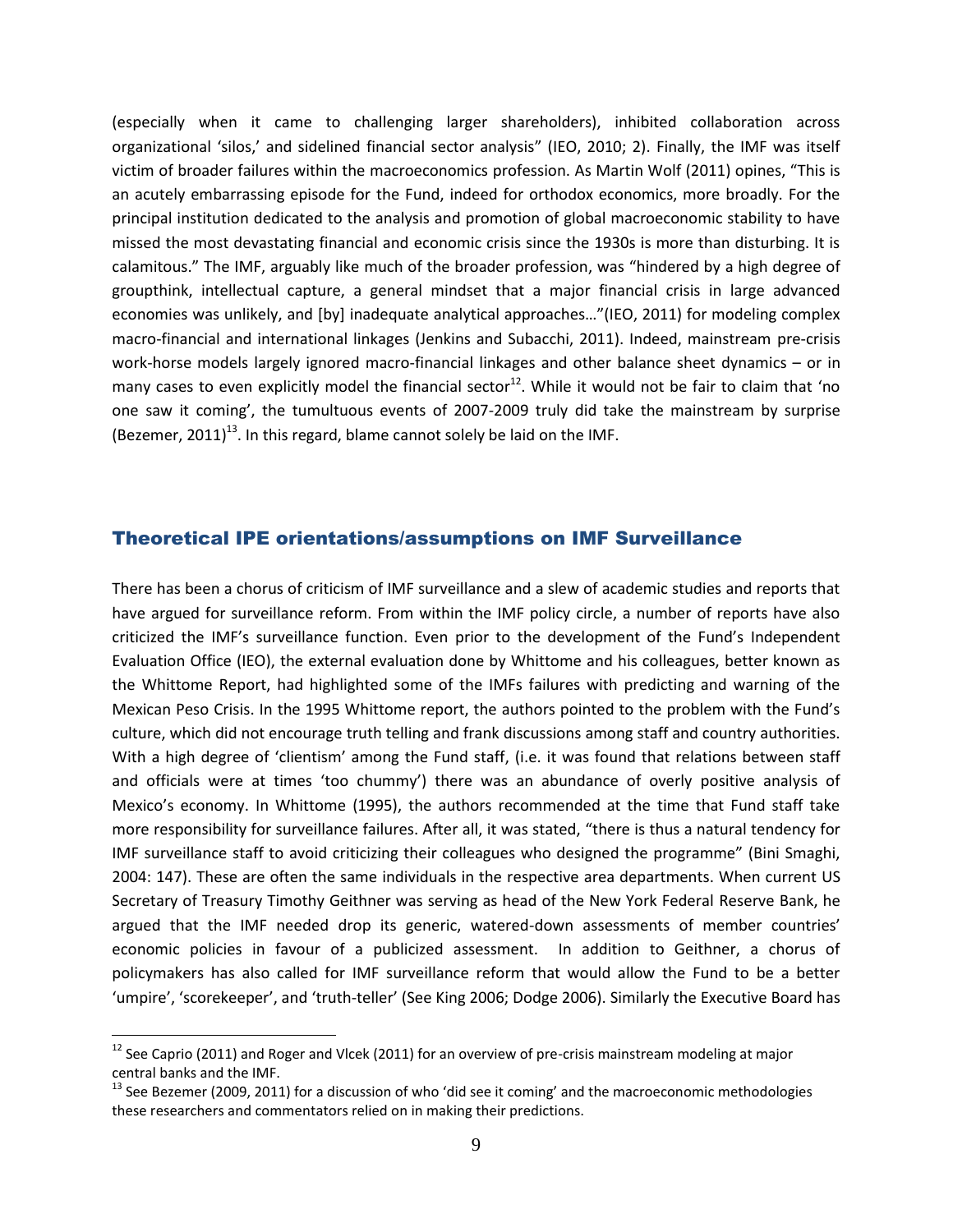(especially when it came to challenging larger shareholders), inhibited collaboration across organizational 'silos,' and sidelined financial sector analysis" (IEO, 2010; 2). Finally, the IMF was itself victim of broader failures within the macroeconomics profession. As Martin Wolf (2011) opines, "This is an acutely embarrassing episode for the Fund, indeed for orthodox economics, more broadly. For the principal institution dedicated to the analysis and promotion of global macroeconomic stability to have missed the most devastating financial and economic crisis since the 1930s is more than disturbing. It is calamitous." The IMF, arguably like much of the broader profession, was "hindered by a high degree of groupthink, intellectual capture, a general mindset that a major financial crisis in large advanced economies was unlikely, and [by] inadequate analytical approaches…"(IEO, 2011) for modeling complex macro-financial and international linkages (Jenkins and Subacchi, 2011). Indeed, mainstream pre-crisis work-horse models largely ignored macro-financial linkages and other balance sheet dynamics – or in many cases to even explicitly model the financial sector<sup>12</sup>. While it would not be fair to claim that 'no one saw it coming', the tumultuous events of 2007-2009 truly did take the mainstream by surprise (Bezemer, 2011)<sup>13</sup>. In this regard, blame cannot solely be laid on the IMF.

#### Theoretical IPE orientations/assumptions on IMF Surveillance

There has been a chorus of criticism of IMF surveillance and a slew of academic studies and reports that have argued for surveillance reform. From within the IMF policy circle, a number of reports have also criticized the IMF's surveillance function. Even prior to the development of the Fund's Independent Evaluation Office (IEO), the external evaluation done by Whittome and his colleagues, better known as the Whittome Report, had highlighted some of the IMFs failures with predicting and warning of the Mexican Peso Crisis. In the 1995 Whittome report, the authors pointed to the problem with the Fund's culture, which did not encourage truth telling and frank discussions among staff and country authorities. With a high degree of 'clientism' among the Fund staff, (i.e. it was found that relations between staff and officials were at times 'too chummy') there was an abundance of overly positive analysis of Mexico's economy. In Whittome (1995), the authors recommended at the time that Fund staff take more responsibility for surveillance failures. After all, it was stated, "there is thus a natural tendency for IMF surveillance staff to avoid criticizing their colleagues who designed the programme" (Bini Smaghi, 2004: 147). These are often the same individuals in the respective area departments. When current US Secretary of Treasury Timothy Geithner was serving as head of the New York Federal Reserve Bank, he argued that the IMF needed drop its generic, watered-down assessments of member countries' economic policies in favour of a publicized assessment. In addition to Geithner, a chorus of policymakers has also called for IMF surveillance reform that would allow the Fund to be a better 'umpire', 'scorekeeper', and 'truth-teller' (See King 2006; Dodge 2006). Similarly the Executive Board has

<sup>&</sup>lt;sup>12</sup> See Caprio (2011) and Roger and Vlcek (2011) for an overview of pre-crisis mainstream modeling at major central banks and the IMF.

 $13$  See Bezemer (2009, 2011) for a discussion of who 'did see it coming' and the macroeconomic methodologies these researchers and commentators relied on in making their predictions.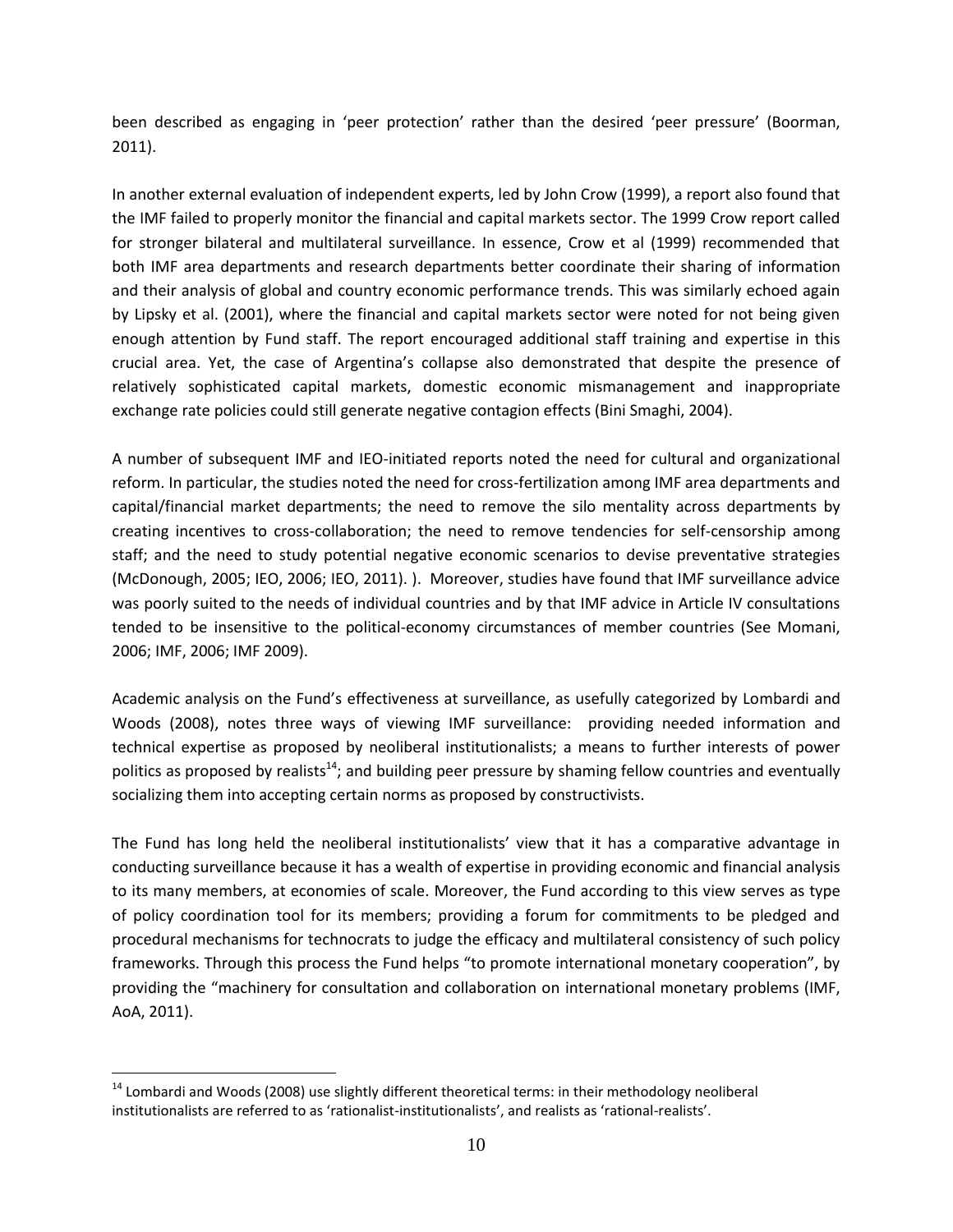been described as engaging in 'peer protection' rather than the desired 'peer pressure' (Boorman, 2011).

In another external evaluation of independent experts, led by John Crow (1999), a report also found that the IMF failed to properly monitor the financial and capital markets sector. The 1999 Crow report called for stronger bilateral and multilateral surveillance. In essence, Crow et al (1999) recommended that both IMF area departments and research departments better coordinate their sharing of information and their analysis of global and country economic performance trends. This was similarly echoed again by Lipsky et al. (2001), where the financial and capital markets sector were noted for not being given enough attention by Fund staff. The report encouraged additional staff training and expertise in this crucial area. Yet, the case of Argentina's collapse also demonstrated that despite the presence of relatively sophisticated capital markets, domestic economic mismanagement and inappropriate exchange rate policies could still generate negative contagion effects (Bini Smaghi, 2004).

A number of subsequent IMF and IEO-initiated reports noted the need for cultural and organizational reform. In particular, the studies noted the need for cross-fertilization among IMF area departments and capital/financial market departments; the need to remove the silo mentality across departments by creating incentives to cross-collaboration; the need to remove tendencies for self-censorship among staff; and the need to study potential negative economic scenarios to devise preventative strategies (McDonough, 2005; IEO, 2006; IEO, 2011). ). Moreover, studies have found that IMF surveillance advice was poorly suited to the needs of individual countries and by that IMF advice in Article IV consultations tended to be insensitive to the political-economy circumstances of member countries (See Momani, 2006; IMF, 2006; IMF 2009).

Academic analysis on the Fund's effectiveness at surveillance, as usefully categorized by Lombardi and Woods (2008), notes three ways of viewing IMF surveillance: providing needed information and technical expertise as proposed by neoliberal institutionalists; a means to further interests of power politics as proposed by realists<sup>14</sup>; and building peer pressure by shaming fellow countries and eventually socializing them into accepting certain norms as proposed by constructivists.

The Fund has long held the neoliberal institutionalists' view that it has a comparative advantage in conducting surveillance because it has a wealth of expertise in providing economic and financial analysis to its many members, at economies of scale. Moreover, the Fund according to this view serves as type of policy coordination tool for its members; providing a forum for commitments to be pledged and procedural mechanisms for technocrats to judge the efficacy and multilateral consistency of such policy frameworks. Through this process the Fund helps "to promote international monetary cooperation", by providing the "machinery for consultation and collaboration on international monetary problems (IMF, AoA, 2011).

 $14$  Lombardi and Woods (2008) use slightly different theoretical terms: in their methodology neoliberal institutionalists are referred to as 'rationalist-institutionalists', and realists as 'rational-realists'.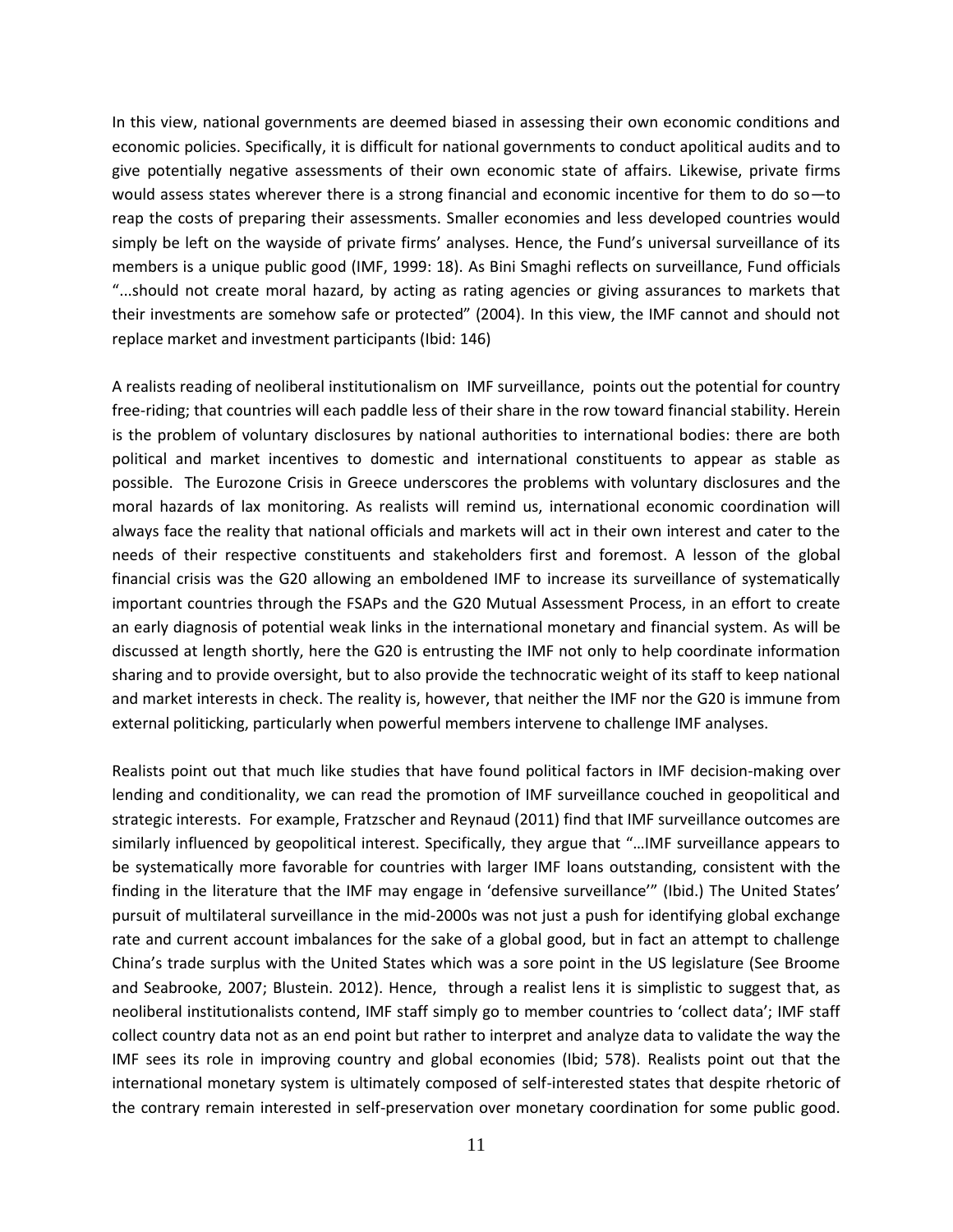In this view, national governments are deemed biased in assessing their own economic conditions and economic policies. Specifically, it is difficult for national governments to conduct apolitical audits and to give potentially negative assessments of their own economic state of affairs. Likewise, private firms would assess states wherever there is a strong financial and economic incentive for them to do so—to reap the costs of preparing their assessments. Smaller economies and less developed countries would simply be left on the wayside of private firms' analyses. Hence, the Fund's universal surveillance of its members is a unique public good (IMF, 1999: 18). As Bini Smaghi reflects on surveillance, Fund officials "...should not create moral hazard, by acting as rating agencies or giving assurances to markets that their investments are somehow safe or protected" (2004). In this view, the IMF cannot and should not replace market and investment participants (Ibid: 146)

A realists reading of neoliberal institutionalism on IMF surveillance, points out the potential for country free-riding; that countries will each paddle less of their share in the row toward financial stability. Herein is the problem of voluntary disclosures by national authorities to international bodies: there are both political and market incentives to domestic and international constituents to appear as stable as possible. The Eurozone Crisis in Greece underscores the problems with voluntary disclosures and the moral hazards of lax monitoring. As realists will remind us, international economic coordination will always face the reality that national officials and markets will act in their own interest and cater to the needs of their respective constituents and stakeholders first and foremost. A lesson of the global financial crisis was the G20 allowing an emboldened IMF to increase its surveillance of systematically important countries through the FSAPs and the G20 Mutual Assessment Process, in an effort to create an early diagnosis of potential weak links in the international monetary and financial system. As will be discussed at length shortly, here the G20 is entrusting the IMF not only to help coordinate information sharing and to provide oversight, but to also provide the technocratic weight of its staff to keep national and market interests in check. The reality is, however, that neither the IMF nor the G20 is immune from external politicking, particularly when powerful members intervene to challenge IMF analyses.

Realists point out that much like studies that have found political factors in IMF decision-making over lending and conditionality, we can read the promotion of IMF surveillance couched in geopolitical and strategic interests. For example, Fratzscher and Reynaud (2011) find that IMF surveillance outcomes are similarly influenced by geopolitical interest. Specifically, they argue that "…IMF surveillance appears to be systematically more favorable for countries with larger IMF loans outstanding, consistent with the finding in the literature that the IMF may engage in 'defensive surveillance'" (Ibid.) The United States' pursuit of multilateral surveillance in the mid-2000s was not just a push for identifying global exchange rate and current account imbalances for the sake of a global good, but in fact an attempt to challenge China's trade surplus with the United States which was a sore point in the US legislature (See Broome and Seabrooke, 2007; Blustein. 2012). Hence, through a realist lens it is simplistic to suggest that, as neoliberal institutionalists contend, IMF staff simply go to member countries to 'collect data'; IMF staff collect country data not as an end point but rather to interpret and analyze data to validate the way the IMF sees its role in improving country and global economies (Ibid; 578). Realists point out that the international monetary system is ultimately composed of self-interested states that despite rhetoric of the contrary remain interested in self-preservation over monetary coordination for some public good.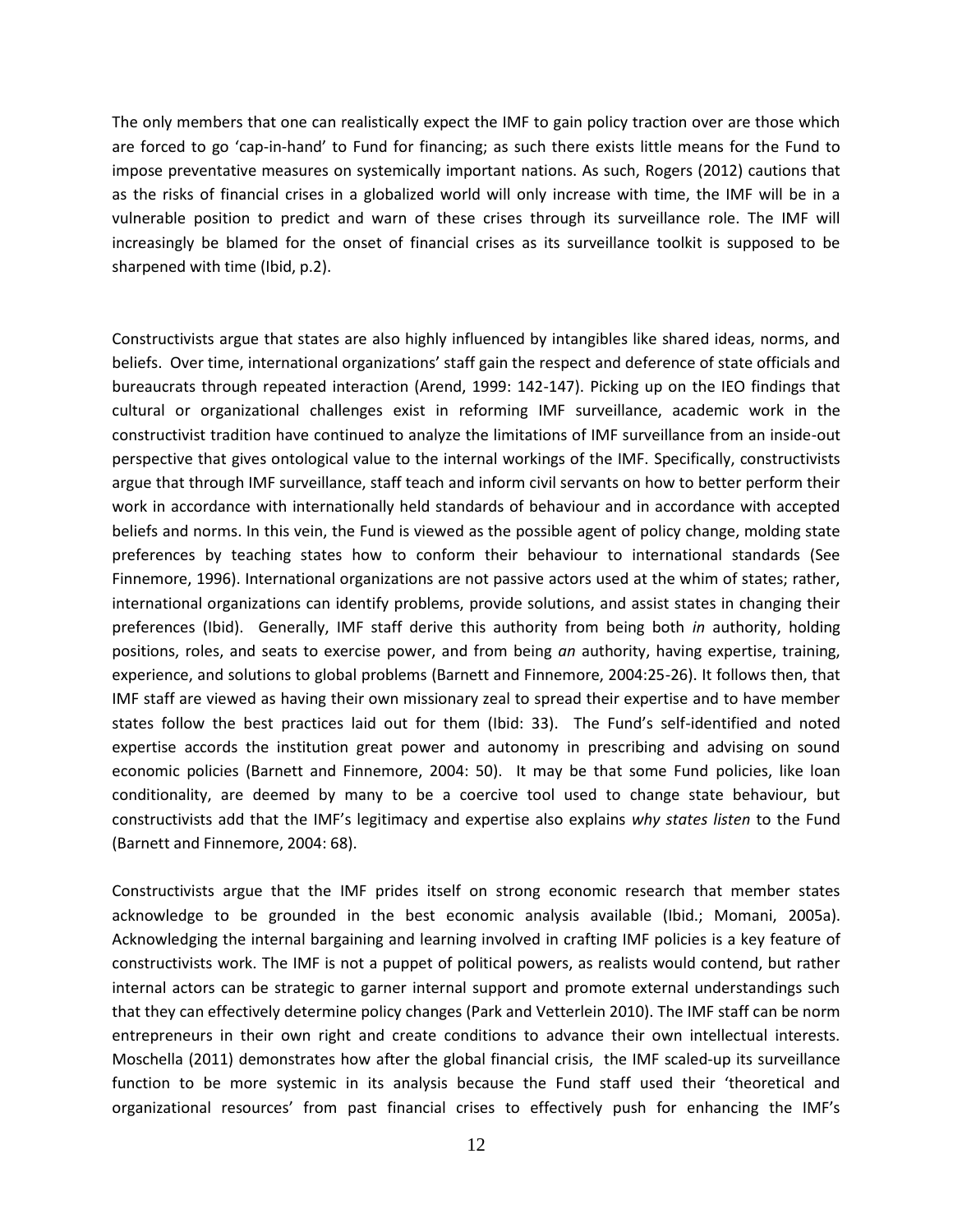The only members that one can realistically expect the IMF to gain policy traction over are those which are forced to go 'cap-in-hand' to Fund for financing; as such there exists little means for the Fund to impose preventative measures on systemically important nations. As such, Rogers (2012) cautions that as the risks of financial crises in a globalized world will only increase with time, the IMF will be in a vulnerable position to predict and warn of these crises through its surveillance role. The IMF will increasingly be blamed for the onset of financial crises as its surveillance toolkit is supposed to be sharpened with time (Ibid, p.2).

Constructivists argue that states are also highly influenced by intangibles like shared ideas, norms, and beliefs. Over time, international organizations' staff gain the respect and deference of state officials and bureaucrats through repeated interaction (Arend, 1999: 142-147). Picking up on the IEO findings that cultural or organizational challenges exist in reforming IMF surveillance, academic work in the constructivist tradition have continued to analyze the limitations of IMF surveillance from an inside-out perspective that gives ontological value to the internal workings of the IMF. Specifically, constructivists argue that through IMF surveillance, staff teach and inform civil servants on how to better perform their work in accordance with internationally held standards of behaviour and in accordance with accepted beliefs and norms. In this vein, the Fund is viewed as the possible agent of policy change, molding state preferences by teaching states how to conform their behaviour to international standards (See Finnemore, 1996). International organizations are not passive actors used at the whim of states; rather, international organizations can identify problems, provide solutions, and assist states in changing their preferences (Ibid). Generally, IMF staff derive this authority from being both *in* authority, holding positions, roles, and seats to exercise power, and from being *an* authority, having expertise, training, experience, and solutions to global problems (Barnett and Finnemore, 2004:25-26). It follows then, that IMF staff are viewed as having their own missionary zeal to spread their expertise and to have member states follow the best practices laid out for them (Ibid: 33). The Fund's self-identified and noted expertise accords the institution great power and autonomy in prescribing and advising on sound economic policies (Barnett and Finnemore, 2004: 50). It may be that some Fund policies, like loan conditionality, are deemed by many to be a coercive tool used to change state behaviour, but constructivists add that the IMF's legitimacy and expertise also explains *why states listen* to the Fund (Barnett and Finnemore, 2004: 68).

Constructivists argue that the IMF prides itself on strong economic research that member states acknowledge to be grounded in the best economic analysis available (Ibid.; Momani, 2005a). Acknowledging the internal bargaining and learning involved in crafting IMF policies is a key feature of constructivists work. The IMF is not a puppet of political powers, as realists would contend, but rather internal actors can be strategic to garner internal support and promote external understandings such that they can effectively determine policy changes (Park and Vetterlein 2010). The IMF staff can be norm entrepreneurs in their own right and create conditions to advance their own intellectual interests. Moschella (2011) demonstrates how after the global financial crisis, the IMF scaled-up its surveillance function to be more systemic in its analysis because the Fund staff used their 'theoretical and organizational resources' from past financial crises to effectively push for enhancing the IMF's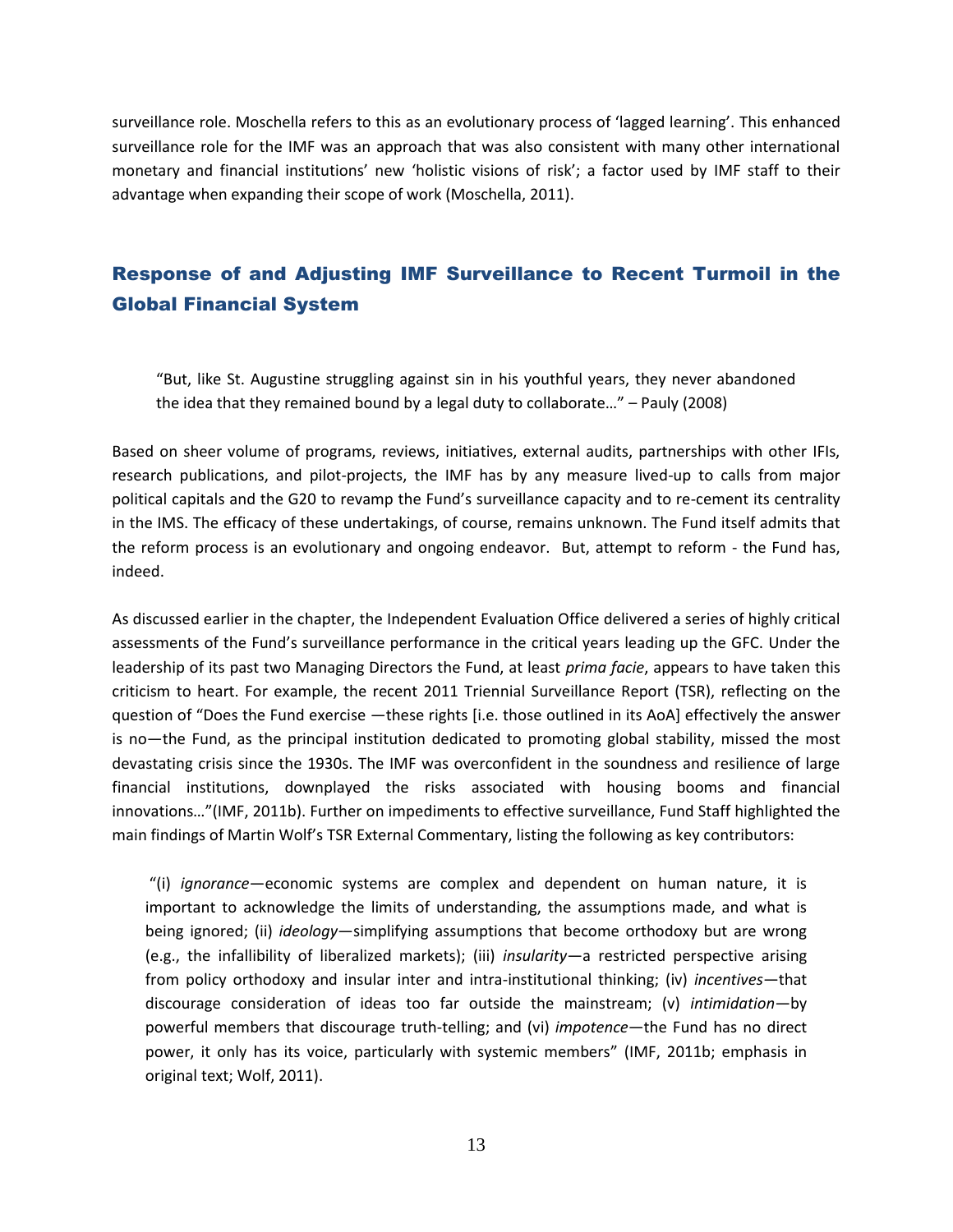surveillance role. Moschella refers to this as an evolutionary process of 'lagged learning'. This enhanced surveillance role for the IMF was an approach that was also consistent with many other international monetary and financial institutions' new 'holistic visions of risk'; a factor used by IMF staff to their advantage when expanding their scope of work (Moschella, 2011).

# Response of and Adjusting IMF Surveillance to Recent Turmoil in the Global Financial System

"But, like St. Augustine struggling against sin in his youthful years, they never abandoned the idea that they remained bound by a legal duty to collaborate…" – Pauly (2008)

Based on sheer volume of programs, reviews, initiatives, external audits, partnerships with other IFIs, research publications, and pilot-projects, the IMF has by any measure lived-up to calls from major political capitals and the G20 to revamp the Fund's surveillance capacity and to re-cement its centrality in the IMS. The efficacy of these undertakings, of course, remains unknown. The Fund itself admits that the reform process is an evolutionary and ongoing endeavor. But, attempt to reform - the Fund has, indeed.

As discussed earlier in the chapter, the Independent Evaluation Office delivered a series of highly critical assessments of the Fund's surveillance performance in the critical years leading up the GFC. Under the leadership of its past two Managing Directors the Fund, at least *prima facie*, appears to have taken this criticism to heart. For example, the recent 2011 Triennial Surveillance Report (TSR), reflecting on the question of "Does the Fund exercise —these rights [i.e. those outlined in its AoA] effectively the answer is no—the Fund, as the principal institution dedicated to promoting global stability, missed the most devastating crisis since the 1930s. The IMF was overconfident in the soundness and resilience of large financial institutions, downplayed the risks associated with housing booms and financial innovations…"(IMF, 2011b). Further on impediments to effective surveillance, Fund Staff highlighted the main findings of Martin Wolf's TSR External Commentary, listing the following as key contributors:

"(i) *ignorance*—economic systems are complex and dependent on human nature, it is important to acknowledge the limits of understanding, the assumptions made, and what is being ignored; (ii) *ideology*—simplifying assumptions that become orthodoxy but are wrong (e.g., the infallibility of liberalized markets); (iii) *insularity*—a restricted perspective arising from policy orthodoxy and insular inter and intra-institutional thinking; (iv) *incentives*—that discourage consideration of ideas too far outside the mainstream; (v) *intimidation*—by powerful members that discourage truth-telling; and (vi) *impotence*—the Fund has no direct power, it only has its voice, particularly with systemic members" (IMF, 2011b; emphasis in original text; Wolf, 2011).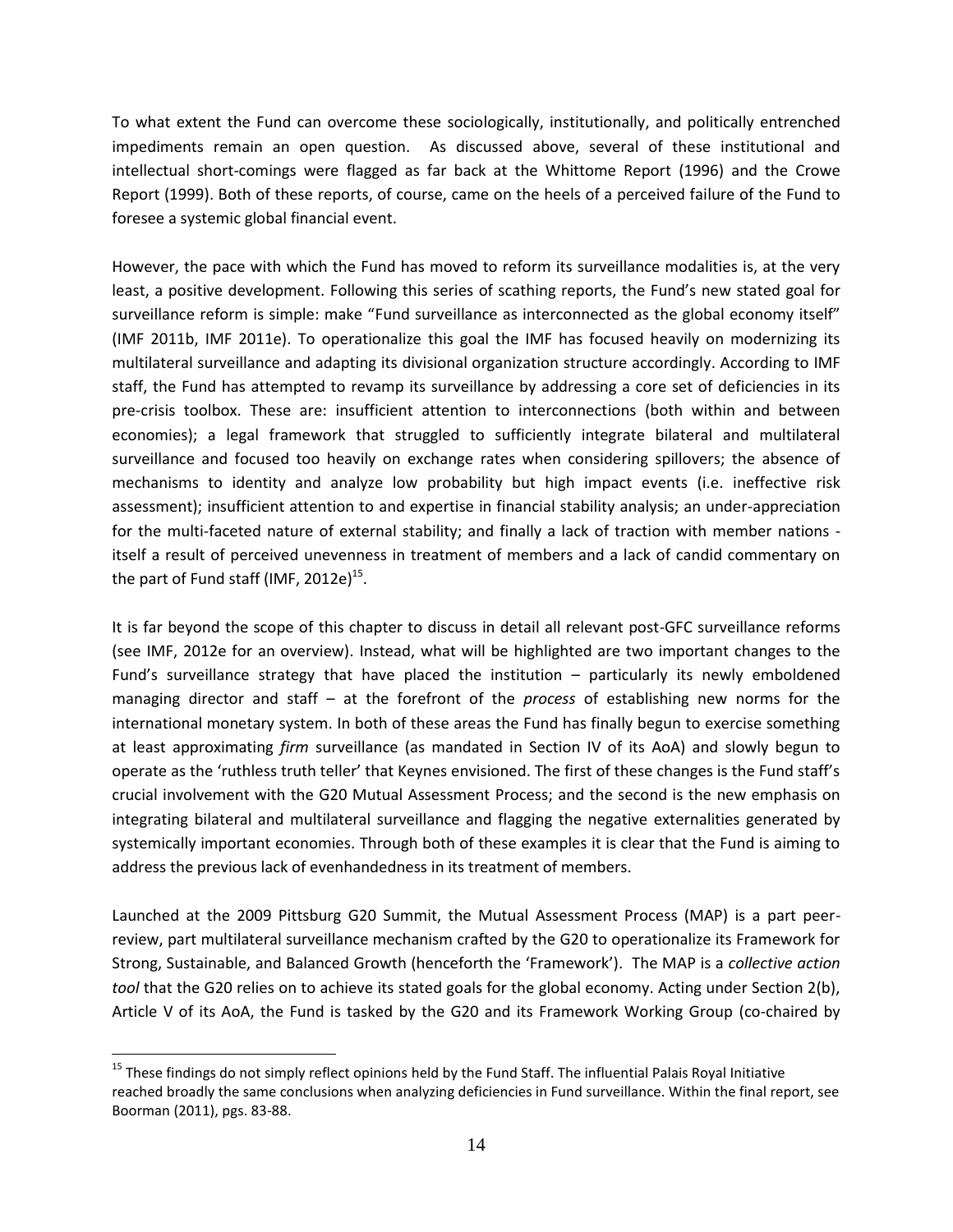To what extent the Fund can overcome these sociologically, institutionally, and politically entrenched impediments remain an open question. As discussed above, several of these institutional and intellectual short-comings were flagged as far back at the Whittome Report (1996) and the Crowe Report (1999). Both of these reports, of course, came on the heels of a perceived failure of the Fund to foresee a systemic global financial event.

However, the pace with which the Fund has moved to reform its surveillance modalities is, at the very least, a positive development. Following this series of scathing reports, the Fund's new stated goal for surveillance reform is simple: make "Fund surveillance as interconnected as the global economy itself" (IMF 2011b, IMF 2011e). To operationalize this goal the IMF has focused heavily on modernizing its multilateral surveillance and adapting its divisional organization structure accordingly. According to IMF staff, the Fund has attempted to revamp its surveillance by addressing a core set of deficiencies in its pre-crisis toolbox. These are: insufficient attention to interconnections (both within and between economies); a legal framework that struggled to sufficiently integrate bilateral and multilateral surveillance and focused too heavily on exchange rates when considering spillovers; the absence of mechanisms to identity and analyze low probability but high impact events (i.e. ineffective risk assessment); insufficient attention to and expertise in financial stability analysis; an under-appreciation for the multi-faceted nature of external stability; and finally a lack of traction with member nations itself a result of perceived unevenness in treatment of members and a lack of candid commentary on the part of Fund staff (IMF, 2012e) $^{15}$ .

It is far beyond the scope of this chapter to discuss in detail all relevant post-GFC surveillance reforms (see IMF, 2012e for an overview). Instead, what will be highlighted are two important changes to the Fund's surveillance strategy that have placed the institution – particularly its newly emboldened managing director and staff – at the forefront of the *process* of establishing new norms for the international monetary system. In both of these areas the Fund has finally begun to exercise something at least approximating *firm* surveillance (as mandated in Section IV of its AoA) and slowly begun to operate as the 'ruthless truth teller' that Keynes envisioned. The first of these changes is the Fund staff's crucial involvement with the G20 Mutual Assessment Process; and the second is the new emphasis on integrating bilateral and multilateral surveillance and flagging the negative externalities generated by systemically important economies. Through both of these examples it is clear that the Fund is aiming to address the previous lack of evenhandedness in its treatment of members.

Launched at the 2009 Pittsburg G20 Summit, the Mutual Assessment Process (MAP) is a part peerreview, part multilateral surveillance mechanism crafted by the G20 to operationalize its Framework for Strong, Sustainable, and Balanced Growth (henceforth the 'Framework'). The MAP is a *collective action tool* that the G20 relies on to achieve its stated goals for the global economy. Acting under Section 2(b), Article V of its AoA, the Fund is tasked by the G20 and its Framework Working Group (co-chaired by

 $15$  These findings do not simply reflect opinions held by the Fund Staff. The influential Palais Royal Initiative reached broadly the same conclusions when analyzing deficiencies in Fund surveillance. Within the final report, see Boorman (2011), pgs. 83-88.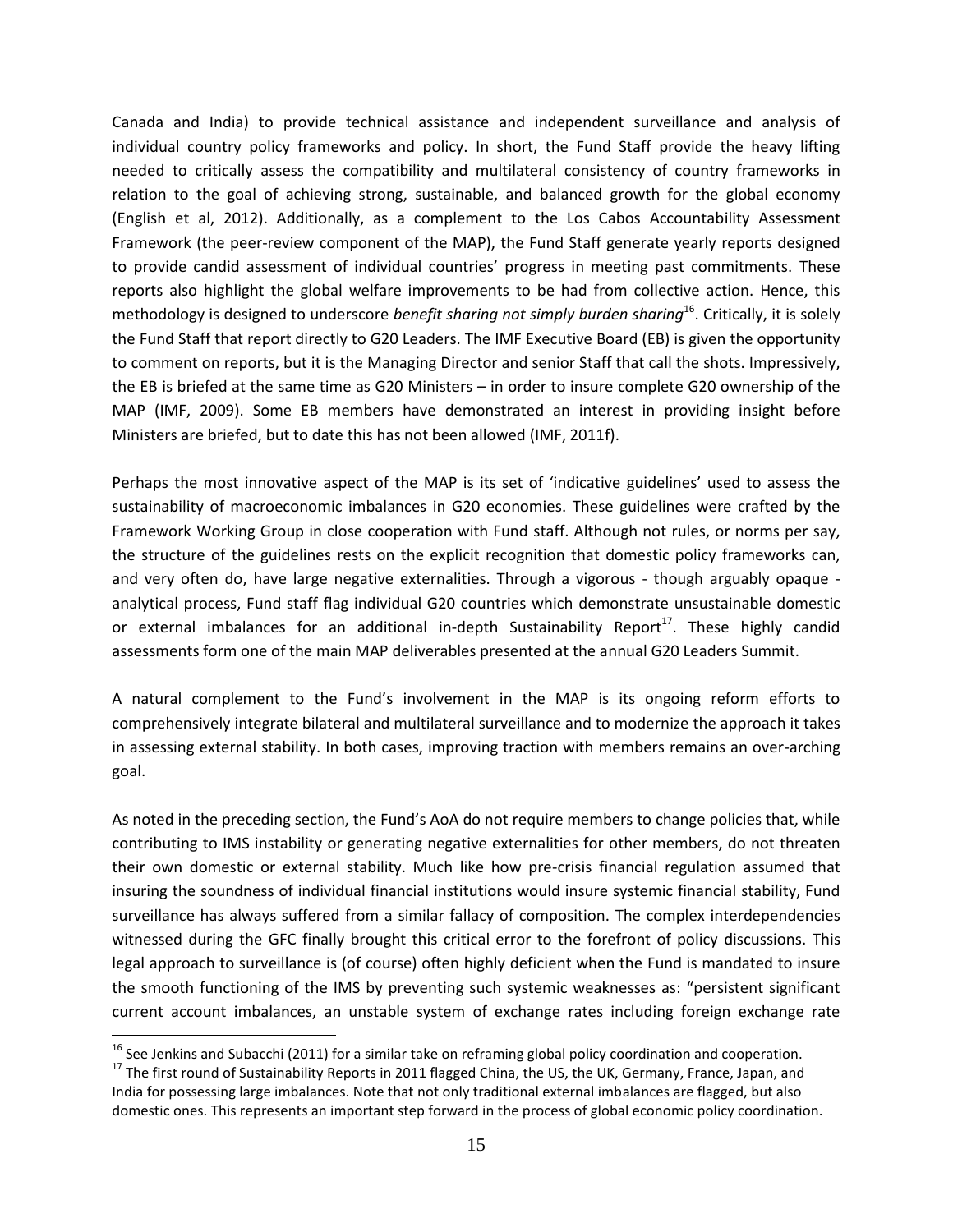Canada and India) to provide technical assistance and independent surveillance and analysis of individual country policy frameworks and policy. In short, the Fund Staff provide the heavy lifting needed to critically assess the compatibility and multilateral consistency of country frameworks in relation to the goal of achieving strong, sustainable, and balanced growth for the global economy (English et al, 2012). Additionally, as a complement to the Los Cabos Accountability Assessment Framework (the peer-review component of the MAP), the Fund Staff generate yearly reports designed to provide candid assessment of individual countries' progress in meeting past commitments. These reports also highlight the global welfare improvements to be had from collective action. Hence, this methodology is designed to underscore *benefit sharing not simply burden sharing*<sup>16</sup> . Critically, it is solely the Fund Staff that report directly to G20 Leaders. The IMF Executive Board (EB) is given the opportunity to comment on reports, but it is the Managing Director and senior Staff that call the shots. Impressively, the EB is briefed at the same time as G20 Ministers – in order to insure complete G20 ownership of the MAP (IMF, 2009). Some EB members have demonstrated an interest in providing insight before Ministers are briefed, but to date this has not been allowed (IMF, 2011f).

Perhaps the most innovative aspect of the MAP is its set of 'indicative guidelines' used to assess the sustainability of macroeconomic imbalances in G20 economies. These guidelines were crafted by the Framework Working Group in close cooperation with Fund staff. Although not rules, or norms per say, the structure of the guidelines rests on the explicit recognition that domestic policy frameworks can, and very often do, have large negative externalities. Through a vigorous - though arguably opaque analytical process, Fund staff flag individual G20 countries which demonstrate unsustainable domestic or external imbalances for an additional in-depth Sustainability Report<sup>17</sup>. These highly candid assessments form one of the main MAP deliverables presented at the annual G20 Leaders Summit.

A natural complement to the Fund's involvement in the MAP is its ongoing reform efforts to comprehensively integrate bilateral and multilateral surveillance and to modernize the approach it takes in assessing external stability. In both cases, improving traction with members remains an over-arching goal.

As noted in the preceding section, the Fund's AoA do not require members to change policies that, while contributing to IMS instability or generating negative externalities for other members, do not threaten their own domestic or external stability. Much like how pre-crisis financial regulation assumed that insuring the soundness of individual financial institutions would insure systemic financial stability, Fund surveillance has always suffered from a similar fallacy of composition. The complex interdependencies witnessed during the GFC finally brought this critical error to the forefront of policy discussions. This legal approach to surveillance is (of course) often highly deficient when the Fund is mandated to insure the smooth functioning of the IMS by preventing such systemic weaknesses as: "persistent significant current account imbalances, an unstable system of exchange rates including foreign exchange rate

<sup>&</sup>lt;sup>16</sup> See Jenkins and Subacchi (2011) for a similar take on reframing global policy coordination and cooperation.

<sup>&</sup>lt;sup>17</sup> The first round of Sustainability Reports in 2011 flagged China, the US, the UK, Germany, France, Japan, and India for possessing large imbalances. Note that not only traditional external imbalances are flagged, but also domestic ones. This represents an important step forward in the process of global economic policy coordination.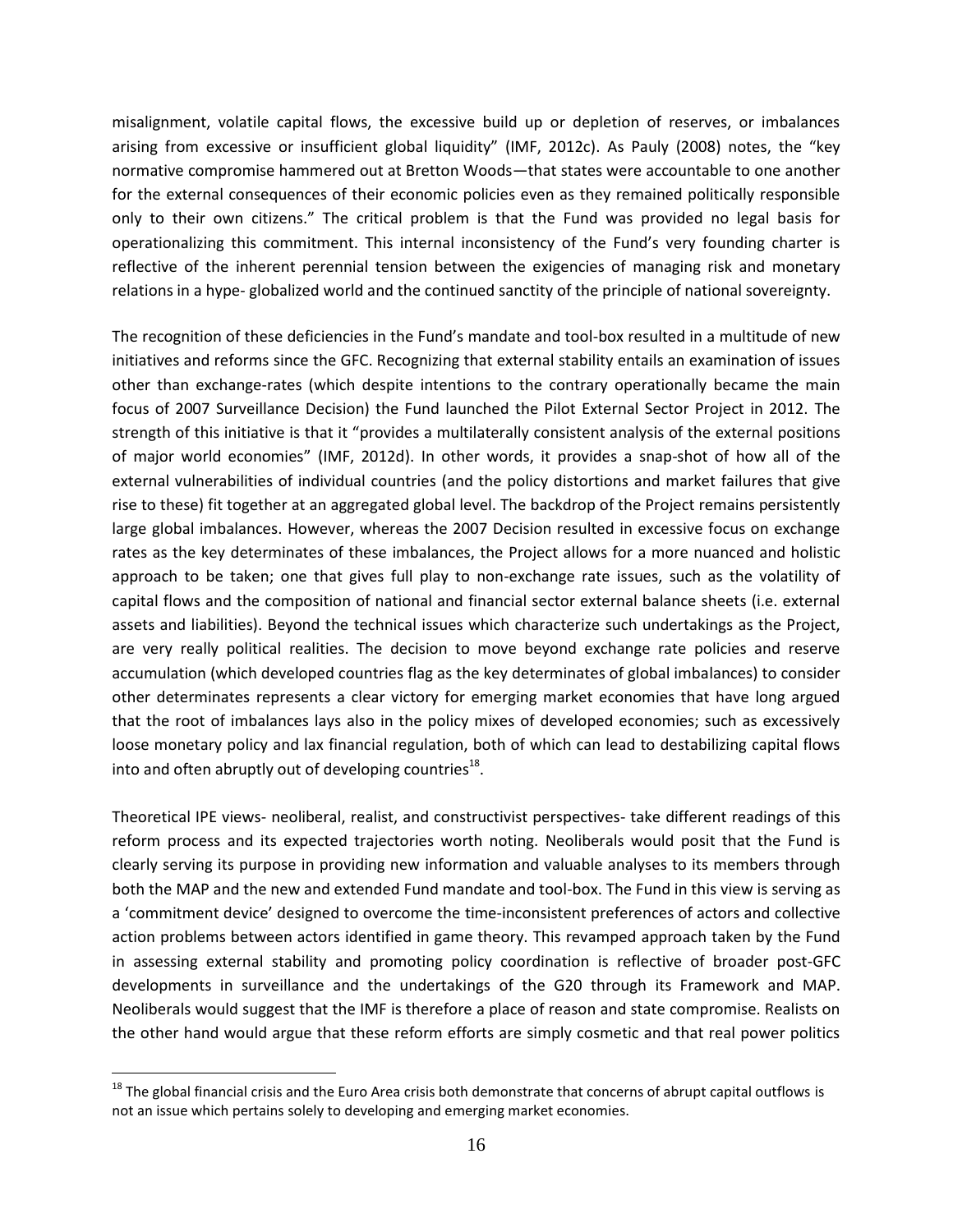misalignment, volatile capital flows, the excessive build up or depletion of reserves, or imbalances arising from excessive or insufficient global liquidity" (IMF, 2012c). As Pauly (2008) notes, the "key normative compromise hammered out at Bretton Woods—that states were accountable to one another for the external consequences of their economic policies even as they remained politically responsible only to their own citizens." The critical problem is that the Fund was provided no legal basis for operationalizing this commitment. This internal inconsistency of the Fund's very founding charter is reflective of the inherent perennial tension between the exigencies of managing risk and monetary relations in a hype- globalized world and the continued sanctity of the principle of national sovereignty.

The recognition of these deficiencies in the Fund's mandate and tool-box resulted in a multitude of new initiatives and reforms since the GFC. Recognizing that external stability entails an examination of issues other than exchange-rates (which despite intentions to the contrary operationally became the main focus of 2007 Surveillance Decision) the Fund launched the Pilot External Sector Project in 2012. The strength of this initiative is that it "provides a multilaterally consistent analysis of the external positions of major world economies" (IMF, 2012d). In other words, it provides a snap-shot of how all of the external vulnerabilities of individual countries (and the policy distortions and market failures that give rise to these) fit together at an aggregated global level. The backdrop of the Project remains persistently large global imbalances. However, whereas the 2007 Decision resulted in excessive focus on exchange rates as the key determinates of these imbalances, the Project allows for a more nuanced and holistic approach to be taken; one that gives full play to non-exchange rate issues, such as the volatility of capital flows and the composition of national and financial sector external balance sheets (i.e. external assets and liabilities). Beyond the technical issues which characterize such undertakings as the Project, are very really political realities. The decision to move beyond exchange rate policies and reserve accumulation (which developed countries flag as the key determinates of global imbalances) to consider other determinates represents a clear victory for emerging market economies that have long argued that the root of imbalances lays also in the policy mixes of developed economies; such as excessively loose monetary policy and lax financial regulation, both of which can lead to destabilizing capital flows into and often abruptly out of developing countries $^{18}$ .

Theoretical IPE views- neoliberal, realist, and constructivist perspectives- take different readings of this reform process and its expected trajectories worth noting. Neoliberals would posit that the Fund is clearly serving its purpose in providing new information and valuable analyses to its members through both the MAP and the new and extended Fund mandate and tool-box. The Fund in this view is serving as a 'commitment device' designed to overcome the time-inconsistent preferences of actors and collective action problems between actors identified in game theory. This revamped approach taken by the Fund in assessing external stability and promoting policy coordination is reflective of broader post-GFC developments in surveillance and the undertakings of the G20 through its Framework and MAP. Neoliberals would suggest that the IMF is therefore a place of reason and state compromise. Realists on the other hand would argue that these reform efforts are simply cosmetic and that real power politics

 $18$  The global financial crisis and the Euro Area crisis both demonstrate that concerns of abrupt capital outflows is not an issue which pertains solely to developing and emerging market economies.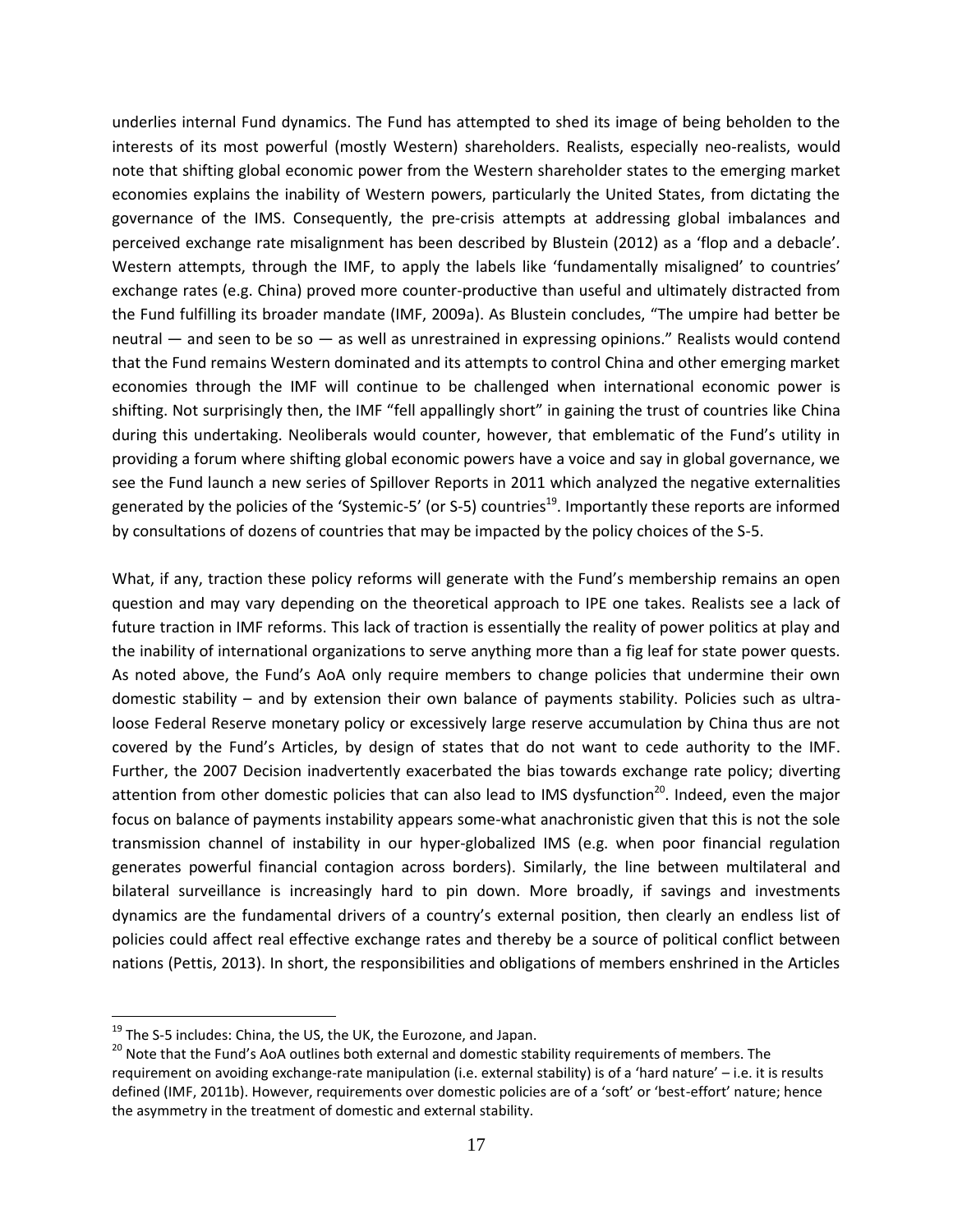underlies internal Fund dynamics. The Fund has attempted to shed its image of being beholden to the interests of its most powerful (mostly Western) shareholders. Realists, especially neo-realists, would note that shifting global economic power from the Western shareholder states to the emerging market economies explains the inability of Western powers, particularly the United States, from dictating the governance of the IMS. Consequently, the pre-crisis attempts at addressing global imbalances and perceived exchange rate misalignment has been described by Blustein (2012) as a 'flop and a debacle'. Western attempts, through the IMF, to apply the labels like 'fundamentally misaligned' to countries' exchange rates (e.g. China) proved more counter-productive than useful and ultimately distracted from the Fund fulfilling its broader mandate (IMF, 2009a). As Blustein concludes, "The umpire had better be neutral — and seen to be so — as well as unrestrained in expressing opinions." Realists would contend that the Fund remains Western dominated and its attempts to control China and other emerging market economies through the IMF will continue to be challenged when international economic power is shifting. Not surprisingly then, the IMF "fell appallingly short" in gaining the trust of countries like China during this undertaking. Neoliberals would counter, however, that emblematic of the Fund's utility in providing a forum where shifting global economic powers have a voice and say in global governance, we see the Fund launch a new series of Spillover Reports in 2011 which analyzed the negative externalities generated by the policies of the 'Systemic-5' (or S-5) countries<sup>19</sup>. Importantly these reports are informed by consultations of dozens of countries that may be impacted by the policy choices of the S-5.

What, if any, traction these policy reforms will generate with the Fund's membership remains an open question and may vary depending on the theoretical approach to IPE one takes. Realists see a lack of future traction in IMF reforms. This lack of traction is essentially the reality of power politics at play and the inability of international organizations to serve anything more than a fig leaf for state power quests. As noted above, the Fund's AoA only require members to change policies that undermine their own domestic stability – and by extension their own balance of payments stability. Policies such as ultraloose Federal Reserve monetary policy or excessively large reserve accumulation by China thus are not covered by the Fund's Articles, by design of states that do not want to cede authority to the IMF. Further, the 2007 Decision inadvertently exacerbated the bias towards exchange rate policy; diverting attention from other domestic policies that can also lead to IMS dysfunction<sup>20</sup>. Indeed, even the major focus on balance of payments instability appears some-what anachronistic given that this is not the sole transmission channel of instability in our hyper-globalized IMS (e.g. when poor financial regulation generates powerful financial contagion across borders). Similarly, the line between multilateral and bilateral surveillance is increasingly hard to pin down. More broadly, if savings and investments dynamics are the fundamental drivers of a country's external position, then clearly an endless list of policies could affect real effective exchange rates and thereby be a source of political conflict between nations (Pettis, 2013). In short, the responsibilities and obligations of members enshrined in the Articles

<sup>&</sup>lt;sup>19</sup> The S-5 includes: China, the US, the UK, the Eurozone, and Japan.

<sup>&</sup>lt;sup>20</sup> Note that the Fund's AoA outlines both external and domestic stability requirements of members. The requirement on avoiding exchange-rate manipulation (i.e. external stability) is of a 'hard nature' – i.e. it is results defined (IMF, 2011b). However, requirements over domestic policies are of a 'soft' or 'best-effort' nature; hence the asymmetry in the treatment of domestic and external stability.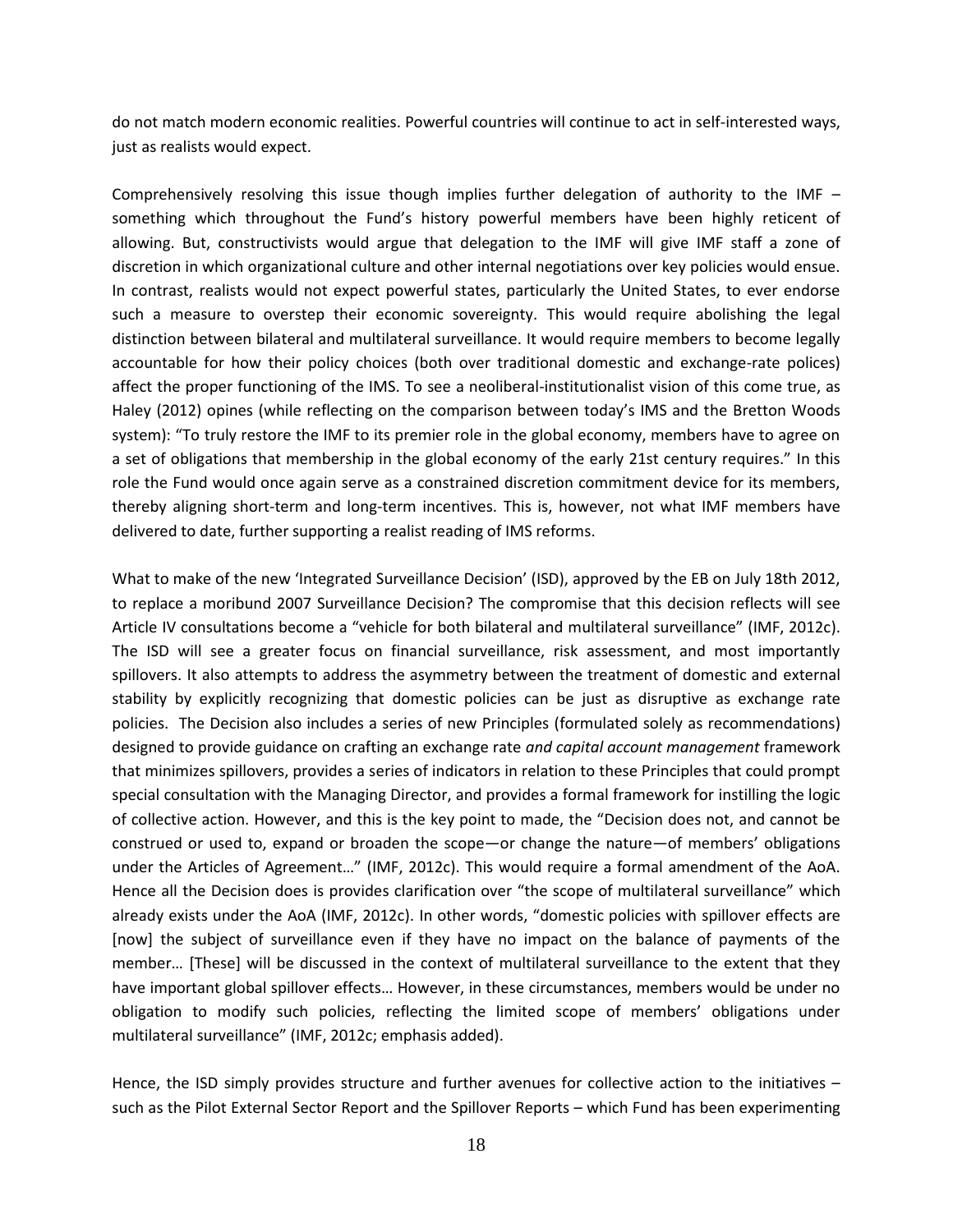do not match modern economic realities. Powerful countries will continue to act in self-interested ways, just as realists would expect.

Comprehensively resolving this issue though implies further delegation of authority to the IMF – something which throughout the Fund's history powerful members have been highly reticent of allowing. But, constructivists would argue that delegation to the IMF will give IMF staff a zone of discretion in which organizational culture and other internal negotiations over key policies would ensue. In contrast, realists would not expect powerful states, particularly the United States, to ever endorse such a measure to overstep their economic sovereignty. This would require abolishing the legal distinction between bilateral and multilateral surveillance. It would require members to become legally accountable for how their policy choices (both over traditional domestic and exchange-rate polices) affect the proper functioning of the IMS. To see a neoliberal-institutionalist vision of this come true, as Haley (2012) opines (while reflecting on the comparison between today's IMS and the Bretton Woods system): "To truly restore the IMF to its premier role in the global economy, members have to agree on a set of obligations that membership in the global economy of the early 21st century requires." In this role the Fund would once again serve as a constrained discretion commitment device for its members, thereby aligning short-term and long-term incentives. This is, however, not what IMF members have delivered to date, further supporting a realist reading of IMS reforms.

What to make of the new 'Integrated Surveillance Decision' (ISD), approved by the EB on July 18th 2012, to replace a moribund 2007 Surveillance Decision? The compromise that this decision reflects will see Article IV consultations become a "vehicle for both bilateral and multilateral surveillance" (IMF, 2012c). The ISD will see a greater focus on financial surveillance, risk assessment, and most importantly spillovers. It also attempts to address the asymmetry between the treatment of domestic and external stability by explicitly recognizing that domestic policies can be just as disruptive as exchange rate policies. The Decision also includes a series of new Principles (formulated solely as recommendations) designed to provide guidance on crafting an exchange rate *and capital account management* framework that minimizes spillovers, provides a series of indicators in relation to these Principles that could prompt special consultation with the Managing Director, and provides a formal framework for instilling the logic of collective action. However, and this is the key point to made, the "Decision does not, and cannot be construed or used to, expand or broaden the scope—or change the nature—of members' obligations under the Articles of Agreement…" (IMF, 2012c). This would require a formal amendment of the AoA. Hence all the Decision does is provides clarification over "the scope of multilateral surveillance" which already exists under the AoA (IMF, 2012c). In other words, "domestic policies with spillover effects are [now] the subject of surveillance even if they have no impact on the balance of payments of the member… [These] will be discussed in the context of multilateral surveillance to the extent that they have important global spillover effects… However, in these circumstances, members would be under no obligation to modify such policies, reflecting the limited scope of members' obligations under multilateral surveillance" (IMF, 2012c; emphasis added).

Hence, the ISD simply provides structure and further avenues for collective action to the initiatives – such as the Pilot External Sector Report and the Spillover Reports – which Fund has been experimenting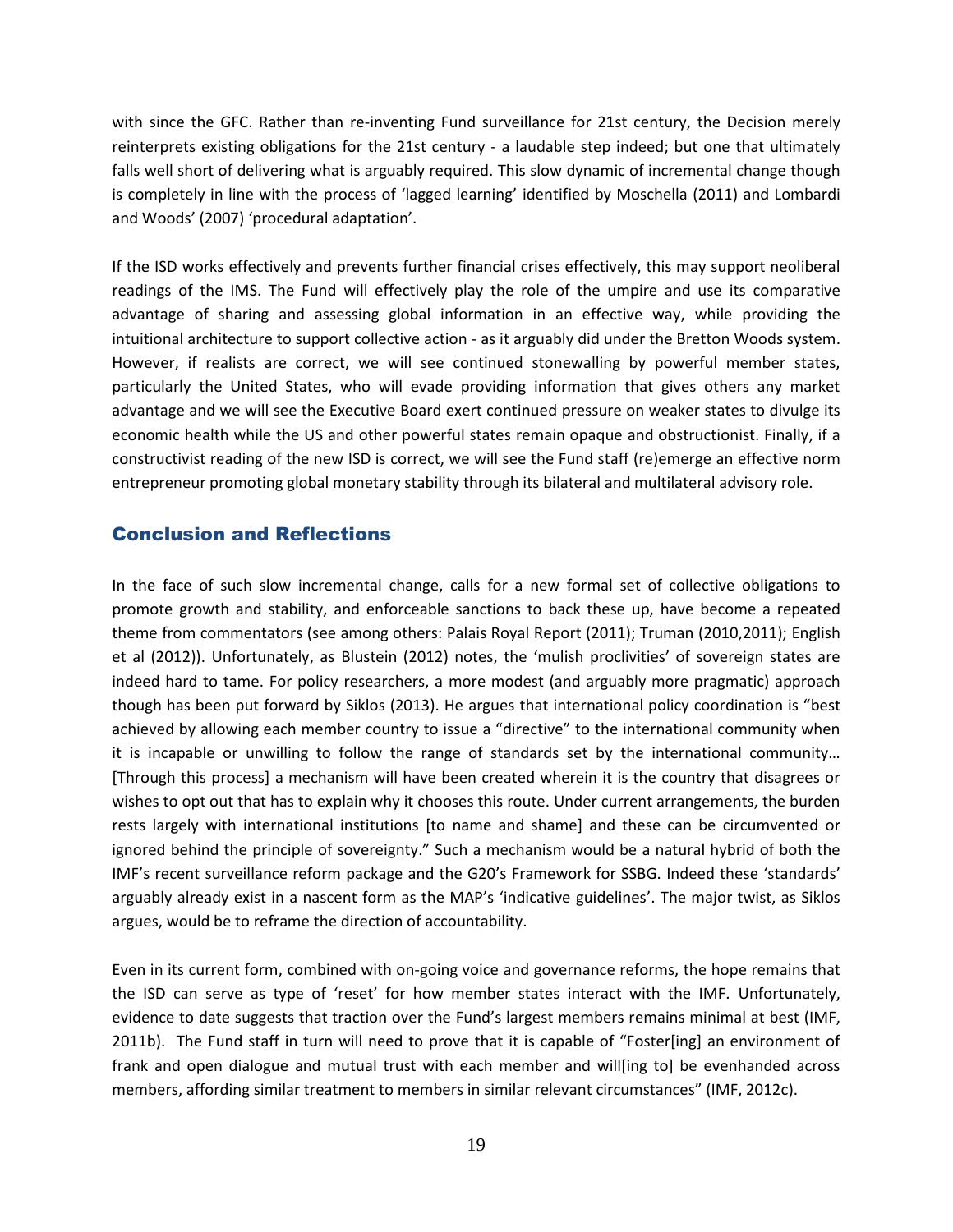with since the GFC. Rather than re-inventing Fund surveillance for 21st century, the Decision merely reinterprets existing obligations for the 21st century - a laudable step indeed; but one that ultimately falls well short of delivering what is arguably required. This slow dynamic of incremental change though is completely in line with the process of 'lagged learning' identified by Moschella (2011) and Lombardi and Woods' (2007) 'procedural adaptation'.

If the ISD works effectively and prevents further financial crises effectively, this may support neoliberal readings of the IMS. The Fund will effectively play the role of the umpire and use its comparative advantage of sharing and assessing global information in an effective way, while providing the intuitional architecture to support collective action - as it arguably did under the Bretton Woods system. However, if realists are correct, we will see continued stonewalling by powerful member states, particularly the United States, who will evade providing information that gives others any market advantage and we will see the Executive Board exert continued pressure on weaker states to divulge its economic health while the US and other powerful states remain opaque and obstructionist. Finally, if a constructivist reading of the new ISD is correct, we will see the Fund staff (re)emerge an effective norm entrepreneur promoting global monetary stability through its bilateral and multilateral advisory role.

#### Conclusion and Reflections

In the face of such slow incremental change, calls for a new formal set of collective obligations to promote growth and stability, and enforceable sanctions to back these up, have become a repeated theme from commentators (see among others: Palais Royal Report (2011); Truman (2010,2011); English et al (2012)). Unfortunately, as Blustein (2012) notes, the 'mulish proclivities' of sovereign states are indeed hard to tame. For policy researchers, a more modest (and arguably more pragmatic) approach though has been put forward by Siklos (2013). He argues that international policy coordination is "best achieved by allowing each member country to issue a "directive" to the international community when it is incapable or unwilling to follow the range of standards set by the international community… [Through this process] a mechanism will have been created wherein it is the country that disagrees or wishes to opt out that has to explain why it chooses this route. Under current arrangements, the burden rests largely with international institutions [to name and shame] and these can be circumvented or ignored behind the principle of sovereignty." Such a mechanism would be a natural hybrid of both the IMF's recent surveillance reform package and the G20's Framework for SSBG. Indeed these 'standards' arguably already exist in a nascent form as the MAP's 'indicative guidelines'. The major twist, as Siklos argues, would be to reframe the direction of accountability.

Even in its current form, combined with on-going voice and governance reforms, the hope remains that the ISD can serve as type of 'reset' for how member states interact with the IMF. Unfortunately, evidence to date suggests that traction over the Fund's largest members remains minimal at best (IMF, 2011b). The Fund staff in turn will need to prove that it is capable of "Foster[ing] an environment of frank and open dialogue and mutual trust with each member and will[ing to] be evenhanded across members, affording similar treatment to members in similar relevant circumstances" (IMF, 2012c).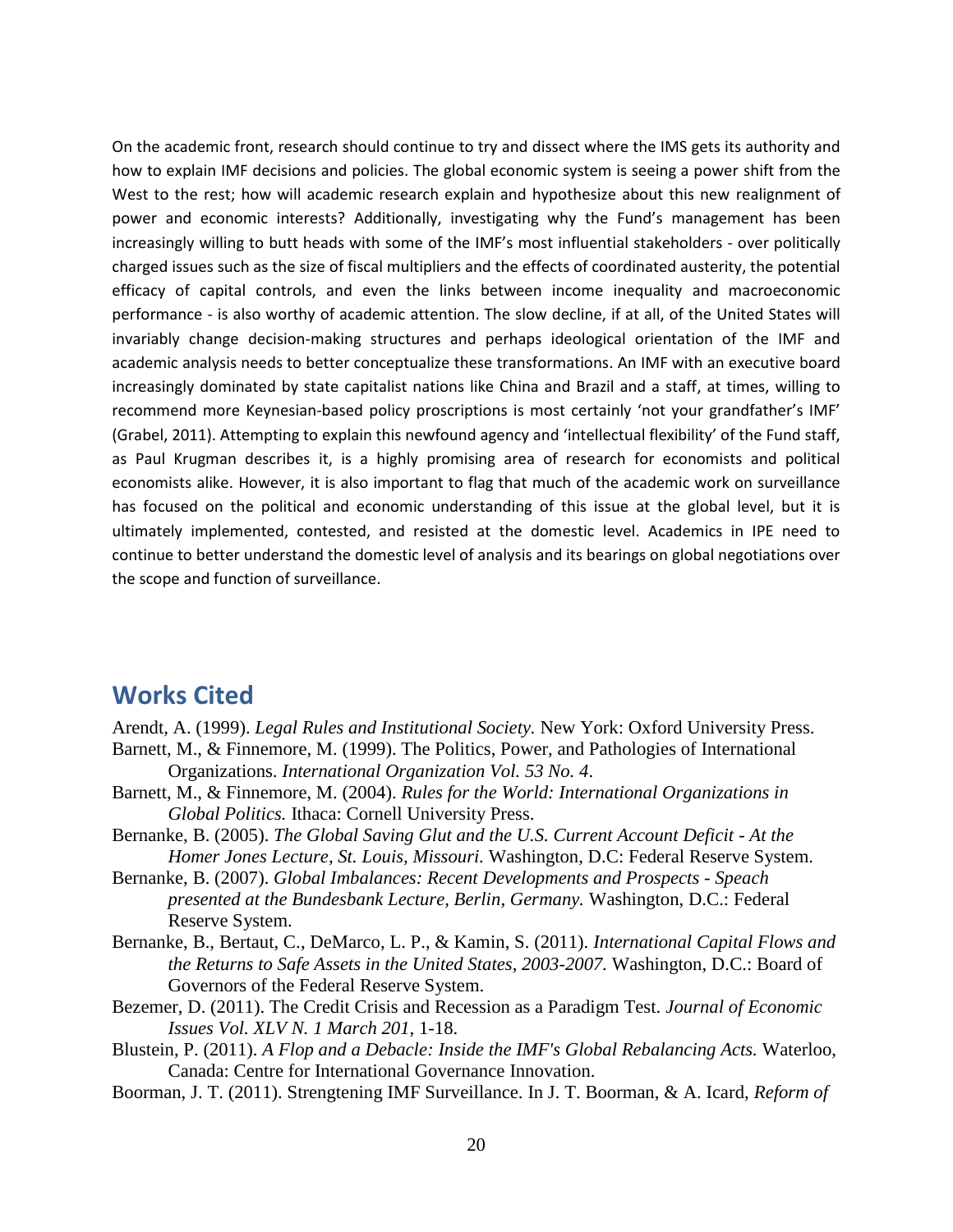On the academic front, research should continue to try and dissect where the IMS gets its authority and how to explain IMF decisions and policies. The global economic system is seeing a power shift from the West to the rest; how will academic research explain and hypothesize about this new realignment of power and economic interests? Additionally, investigating why the Fund's management has been increasingly willing to butt heads with some of the IMF's most influential stakeholders - over politically charged issues such as the size of fiscal multipliers and the effects of coordinated austerity, the potential efficacy of capital controls, and even the links between income inequality and macroeconomic performance - is also worthy of academic attention. The slow decline, if at all, of the United States will invariably change decision-making structures and perhaps ideological orientation of the IMF and academic analysis needs to better conceptualize these transformations. An IMF with an executive board increasingly dominated by state capitalist nations like China and Brazil and a staff, at times, willing to recommend more Keynesian-based policy proscriptions is most certainly 'not your grandfather's IMF' (Grabel, 2011). Attempting to explain this newfound agency and 'intellectual flexibility' of the Fund staff, as Paul Krugman describes it, is a highly promising area of research for economists and political economists alike. However, it is also important to flag that much of the academic work on surveillance has focused on the political and economic understanding of this issue at the global level, but it is ultimately implemented, contested, and resisted at the domestic level. Academics in IPE need to continue to better understand the domestic level of analysis and its bearings on global negotiations over the scope and function of surveillance.

# **Works Cited**

- Arendt, A. (1999). *Legal Rules and Institutional Society.* New York: Oxford University Press.
- Barnett, M., & Finnemore, M. (1999). The Politics, Power, and Pathologies of International Organizations. *International Organization Vol. 53 No. 4*.
- Barnett, M., & Finnemore, M. (2004). *Rules for the World: International Organizations in Global Politics.* Ithaca: Cornell University Press.
- Bernanke, B. (2005). *The Global Saving Glut and the U.S. Current Account Deficit - At the Homer Jones Lecture, St. Louis, Missouri.* Washington, D.C: Federal Reserve System.
- Bernanke, B. (2007). *Global Imbalances: Recent Developments and Prospects - Speach presented at the Bundesbank Lecture, Berlin, Germany.* Washington, D.C.: Federal Reserve System.
- Bernanke, B., Bertaut, C., DeMarco, L. P., & Kamin, S. (2011). *International Capital Flows and the Returns to Safe Assets in the United States, 2003-2007.* Washington, D.C.: Board of Governors of the Federal Reserve System.
- Bezemer, D. (2011). The Credit Crisis and Recession as a Paradigm Test. *Journal of Economic Issues Vol. XLV N. 1 March 201*, 1-18.
- Blustein, P. (2011). *A Flop and a Debacle: Inside the IMF's Global Rebalancing Acts.* Waterloo, Canada: Centre for International Governance Innovation.
- Boorman, J. T. (2011). Strengtening IMF Surveillance. In J. T. Boorman, & A. Icard, *Reform of*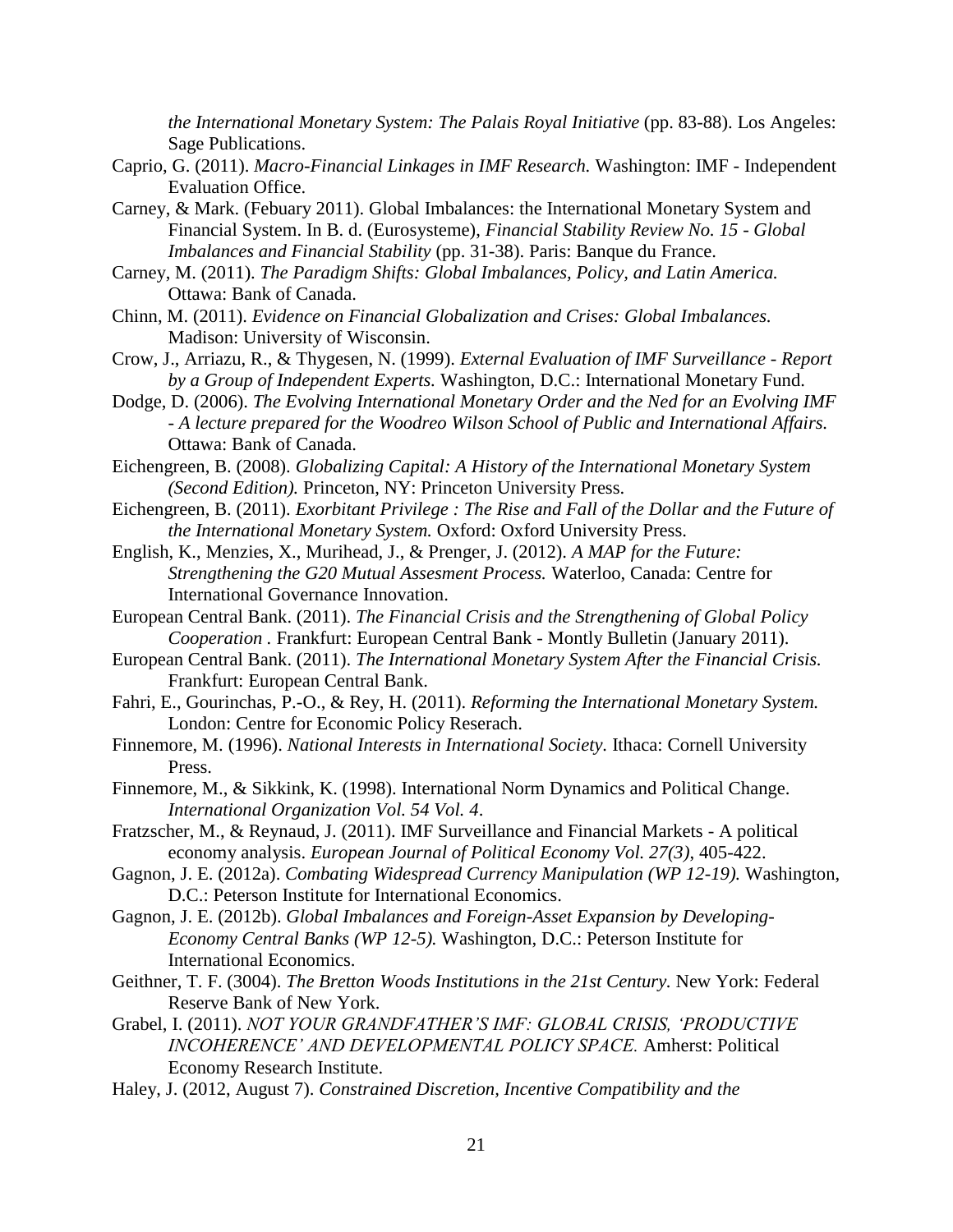*the International Monetary System: The Palais Royal Initiative* (pp. 83-88). Los Angeles: Sage Publications.

- Caprio, G. (2011). *Macro-Financial Linkages in IMF Research.* Washington: IMF Independent Evaluation Office.
- Carney, & Mark. (Febuary 2011). Global Imbalances: the International Monetary System and Financial System. In B. d. (Eurosysteme), *Financial Stability Review No. 15 - Global Imbalances and Financial Stability* (pp. 31-38). Paris: Banque du France.
- Carney, M. (2011). *The Paradigm Shifts: Global Imbalances, Policy, and Latin America.* Ottawa: Bank of Canada.
- Chinn, M. (2011). *Evidence on Financial Globalization and Crises: Global Imbalances.* Madison: University of Wisconsin.
- Crow, J., Arriazu, R., & Thygesen, N. (1999). *External Evaluation of IMF Surveillance - Report by a Group of Independent Experts.* Washington, D.C.: International Monetary Fund.
- Dodge, D. (2006). *The Evolving International Monetary Order and the Ned for an Evolving IMF - A lecture prepared for the Woodreo Wilson School of Public and International Affairs.* Ottawa: Bank of Canada.
- Eichengreen, B. (2008). *Globalizing Capital: A History of the International Monetary System (Second Edition).* Princeton, NY: Princeton University Press.
- Eichengreen, B. (2011). *Exorbitant Privilege : The Rise and Fall of the Dollar and the Future of the International Monetary System.* Oxford: Oxford University Press.
- English, K., Menzies, X., Murihead, J., & Prenger, J. (2012). *A MAP for the Future: Strengthening the G20 Mutual Assesment Process.* Waterloo, Canada: Centre for International Governance Innovation.
- European Central Bank. (2011). *The Financial Crisis and the Strengthening of Global Policy Cooperation .* Frankfurt: European Central Bank - Montly Bulletin (January 2011).
- European Central Bank. (2011). *The International Monetary System After the Financial Crisis.* Frankfurt: European Central Bank.
- Fahri, E., Gourinchas, P.-O., & Rey, H. (2011). *Reforming the International Monetary System.* London: Centre for Economic Policy Reserach.
- Finnemore, M. (1996). *National Interests in International Society.* Ithaca: Cornell University Press.
- Finnemore, M., & Sikkink, K. (1998). International Norm Dynamics and Political Change. *International Organization Vol. 54 Vol. 4*.
- Fratzscher, M., & Reynaud, J. (2011). IMF Surveillance and Financial Markets A political economy analysis. *European Journal of Political Economy Vol. 27(3)*, 405-422.
- Gagnon, J. E. (2012a). *Combating Widespread Currency Manipulation (WP 12-19).* Washington, D.C.: Peterson Institute for International Economics.
- Gagnon, J. E. (2012b). *Global Imbalances and Foreign-Asset Expansion by Developing-Economy Central Banks (WP 12-5).* Washington, D.C.: Peterson Institute for International Economics.
- Geithner, T. F. (3004). *The Bretton Woods Institutions in the 21st Century.* New York: Federal Reserve Bank of New York.
- Grabel, I. (2011). *NOT YOUR GRANDFATHER'S IMF: GLOBAL CRISIS, 'PRODUCTIVE INCOHERENCE' AND DEVELOPMENTAL POLICY SPACE.* Amherst: Political Economy Research Institute.
- Haley, J. (2012, August 7). *Constrained Discretion, Incentive Compatibility and the*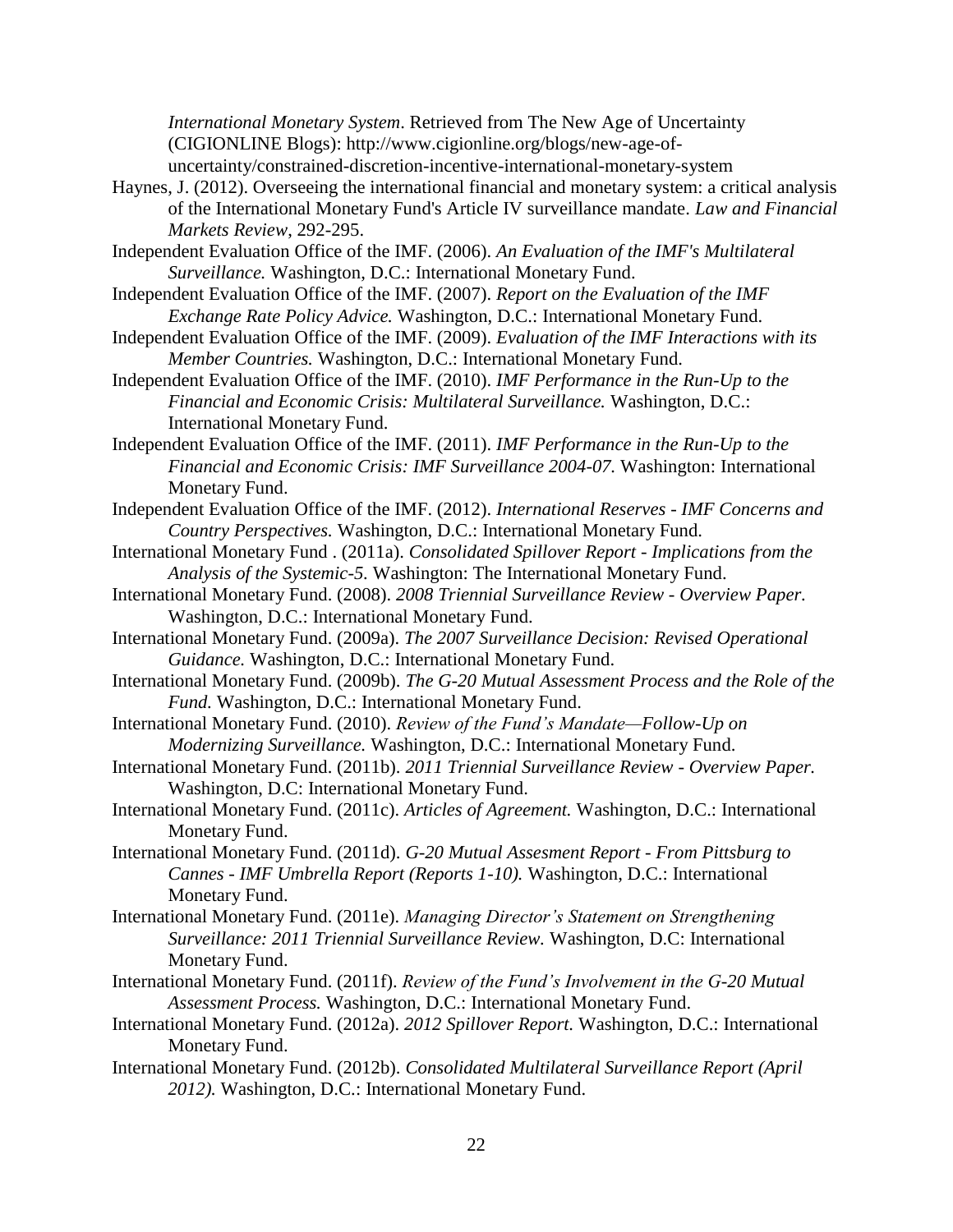*International Monetary System*. Retrieved from The New Age of Uncertainty (CIGIONLINE Blogs): http://www.cigionline.org/blogs/new-age-ofuncertainty/constrained-discretion-incentive-international-monetary-system

- Haynes, J. (2012). Overseeing the international financial and monetary system: a critical analysis of the International Monetary Fund's Article IV surveillance mandate. *Law and Financial Markets Review*, 292-295.
- Independent Evaluation Office of the IMF. (2006). *An Evaluation of the IMF's Multilateral Surveillance.* Washington, D.C.: International Monetary Fund.
- Independent Evaluation Office of the IMF. (2007). *Report on the Evaluation of the IMF Exchange Rate Policy Advice.* Washington, D.C.: International Monetary Fund.
- Independent Evaluation Office of the IMF. (2009). *Evaluation of the IMF Interactions with its Member Countries.* Washington, D.C.: International Monetary Fund.
- Independent Evaluation Office of the IMF. (2010). *IMF Performance in the Run-Up to the Financial and Economic Crisis: Multilateral Surveillance.* Washington, D.C.: International Monetary Fund.
- Independent Evaluation Office of the IMF. (2011). *IMF Performance in the Run-Up to the Financial and Economic Crisis: IMF Surveillance 2004-07.* Washington: International Monetary Fund.
- Independent Evaluation Office of the IMF. (2012). *International Reserves - IMF Concerns and Country Perspectives.* Washington, D.C.: International Monetary Fund.
- International Monetary Fund . (2011a). *Consolidated Spillover Report - Implications from the Analysis of the Systemic-5.* Washington: The International Monetary Fund.
- International Monetary Fund. (2008). *2008 Triennial Surveillance Review - Overview Paper.* Washington, D.C.: International Monetary Fund.
- International Monetary Fund. (2009a). *The 2007 Surveillance Decision: Revised Operational Guidance.* Washington, D.C.: International Monetary Fund.
- International Monetary Fund. (2009b). *The G-20 Mutual Assessment Process and the Role of the Fund.* Washington, D.C.: International Monetary Fund.
- International Monetary Fund. (2010). *Review of the Fund's Mandate—Follow-Up on Modernizing Surveillance.* Washington, D.C.: International Monetary Fund.
- International Monetary Fund. (2011b). *2011 Triennial Surveillance Review - Overview Paper.* Washington, D.C: International Monetary Fund.
- International Monetary Fund. (2011c). *Articles of Agreement.* Washington, D.C.: International Monetary Fund.
- International Monetary Fund. (2011d). *G-20 Mutual Assesment Report - From Pittsburg to Cannes - IMF Umbrella Report (Reports 1-10).* Washington, D.C.: International Monetary Fund.
- International Monetary Fund. (2011e). *Managing Director's Statement on Strengthening Surveillance: 2011 Triennial Surveillance Review.* Washington, D.C: International Monetary Fund.
- International Monetary Fund. (2011f). *Review of the Fund's Involvement in the G-20 Mutual Assessment Process.* Washington, D.C.: International Monetary Fund.
- International Monetary Fund. (2012a). *2012 Spillover Report.* Washington, D.C.: International Monetary Fund.
- International Monetary Fund. (2012b). *Consolidated Multilateral Surveillance Report (April 2012).* Washington, D.C.: International Monetary Fund.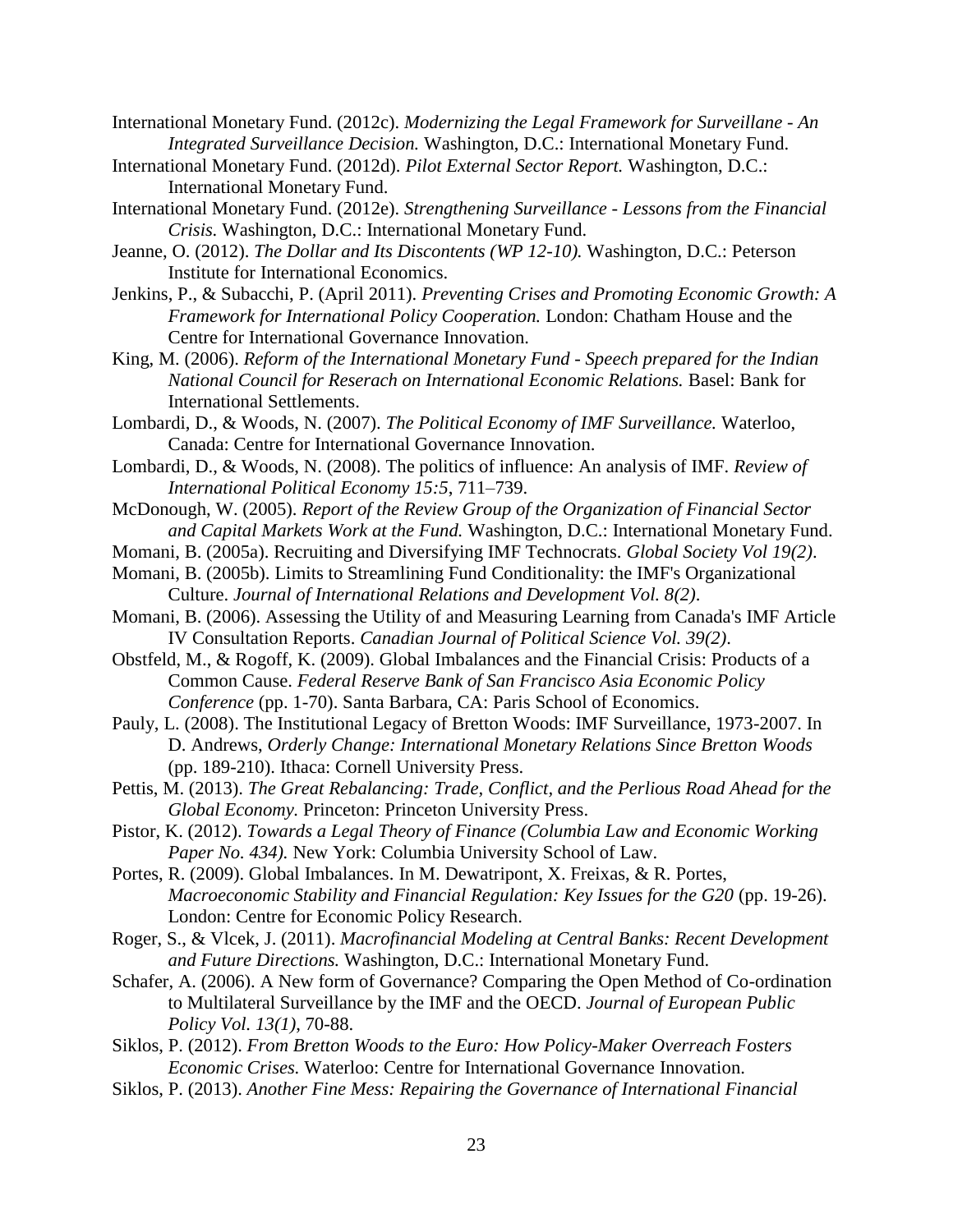International Monetary Fund. (2012c). *Modernizing the Legal Framework for Surveillane - An Integrated Surveillance Decision.* Washington, D.C.: International Monetary Fund.

International Monetary Fund. (2012d). *Pilot External Sector Report.* Washington, D.C.: International Monetary Fund.

International Monetary Fund. (2012e). *Strengthening Surveillance - Lessons from the Financial Crisis.* Washington, D.C.: International Monetary Fund.

Jeanne, O. (2012). *The Dollar and Its Discontents (WP 12-10).* Washington, D.C.: Peterson Institute for International Economics.

Jenkins, P., & Subacchi, P. (April 2011). *Preventing Crises and Promoting Economic Growth: A Framework for International Policy Cooperation.* London: Chatham House and the Centre for International Governance Innovation.

King, M. (2006). *Reform of the International Monetary Fund - Speech prepared for the Indian National Council for Reserach on International Economic Relations.* Basel: Bank for International Settlements.

Lombardi, D., & Woods, N. (2007). *The Political Economy of IMF Surveillance.* Waterloo, Canada: Centre for International Governance Innovation.

Lombardi, D., & Woods, N. (2008). The politics of influence: An analysis of IMF. *Review of International Political Economy 15:5*, 711–739.

McDonough, W. (2005). *Report of the Review Group of the Organization of Financial Sector and Capital Markets Work at the Fund.* Washington, D.C.: International Monetary Fund.

Momani, B. (2005a). Recruiting and Diversifying IMF Technocrats. *Global Society Vol 19(2)*.

Momani, B. (2005b). Limits to Streamlining Fund Conditionality: the IMF's Organizational Culture. *Journal of International Relations and Development Vol. 8(2)*.

Momani, B. (2006). Assessing the Utility of and Measuring Learning from Canada's IMF Article IV Consultation Reports. *Canadian Journal of Political Science Vol. 39(2)*.

Obstfeld, M., & Rogoff, K. (2009). Global Imbalances and the Financial Crisis: Products of a Common Cause. *Federal Reserve Bank of San Francisco Asia Economic Policy Conference* (pp. 1-70). Santa Barbara, CA: Paris School of Economics.

Pauly, L. (2008). The Institutional Legacy of Bretton Woods: IMF Surveillance, 1973-2007. In D. Andrews, *Orderly Change: International Monetary Relations Since Bretton Woods*  (pp. 189-210). Ithaca: Cornell University Press.

Pettis, M. (2013). *The Great Rebalancing: Trade, Conflict, and the Perlious Road Ahead for the Global Economy.* Princeton: Princeton University Press.

Pistor, K. (2012). *Towards a Legal Theory of Finance (Columbia Law and Economic Working Paper No. 434).* New York: Columbia University School of Law.

Portes, R. (2009). Global Imbalances. In M. Dewatripont, X. Freixas, & R. Portes, *Macroeconomic Stability and Financial Regulation: Key Issues for the G20* (pp. 19-26). London: Centre for Economic Policy Research.

Roger, S., & Vlcek, J. (2011). *Macrofinancial Modeling at Central Banks: Recent Development and Future Directions.* Washington, D.C.: International Monetary Fund.

Schafer, A. (2006). A New form of Governance? Comparing the Open Method of Co-ordination to Multilateral Surveillance by the IMF and the OECD. *Journal of European Public Policy Vol. 13(1)*, 70-88.

Siklos, P. (2012). *From Bretton Woods to the Euro: How Policy-Maker Overreach Fosters Economic Crises.* Waterloo: Centre for International Governance Innovation.

Siklos, P. (2013). *Another Fine Mess: Repairing the Governance of International Financial*